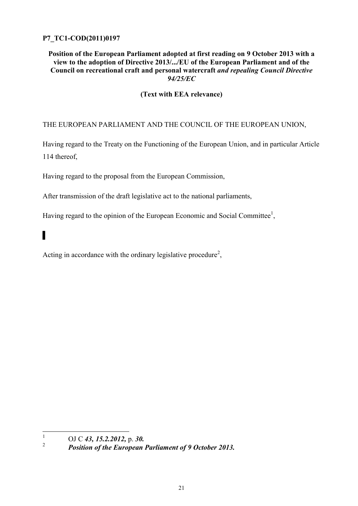# **P7\_TC1-COD(2011)0197**

# **Position of the European Parliament adopted at first reading on 9 October 2013 with a view to the adoption of Directive 2013/.../EU of the European Parliament and of the Council on recreational craft and personal watercraft** *and repealing Council Directive 94/25/EC*

# **(Text with EEA relevance)**

# THE EUROPEAN PARLIAMENT AND THE COUNCIL OF THE EUROPEAN UNION,

Having regard to the Treaty on the Functioning of the European Union, and in particular Article 114 thereof,

Having regard to the proposal from the European Commission,

After transmission of the draft legislative act to the national parliaments,

Having regard to the opinion of the European Economic and Social Committee<sup>1</sup>,

# ▌

Acting in accordance with the ordinary legislative procedure<sup>2</sup>,

 $\frac{1}{1}$ OJ C *43, 15.2.2012,* p. *30.*

<sup>2</sup> *Position of the European Parliament of 9 October 2013.*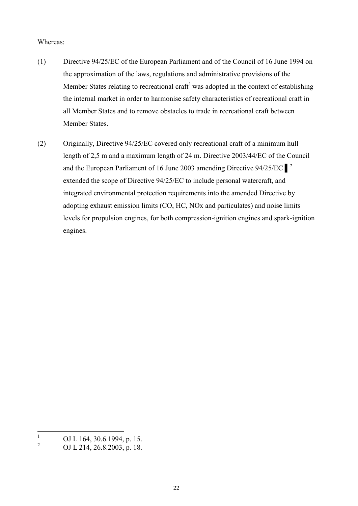#### Whereas:

- (1) Directive 94/25/EC of the European Parliament and of the Council of 16 June 1994 on the approximation of the laws, regulations and administrative provisions of the Member States relating to recreational craft<sup>1</sup> was adopted in the context of establishing the internal market in order to harmonise safety characteristics of recreational craft in all Member States and to remove obstacles to trade in recreational craft between Member States.
- (2) Originally, Directive 94/25/EC covered only recreational craft of a minimum hull length of 2,5 m and a maximum length of 24 m. Directive 2003/44/EC of the Council and the European Parliament of 16 June 2003 amending Directive  $94/25/EC$ <sup>2</sup> extended the scope of Directive 94/25/EC to include personal watercraft, and integrated environmental protection requirements into the amended Directive by adopting exhaust emission limits (CO, HC, NOx and particulates) and noise limits levels for propulsion engines, for both compression-ignition engines and spark-ignition engines.

 $1\,$  $\frac{1}{2}$  OJ L 164, 30.6.1994, p. 15.

<sup>2</sup> OJ L 214, 26.8.2003, p. 18.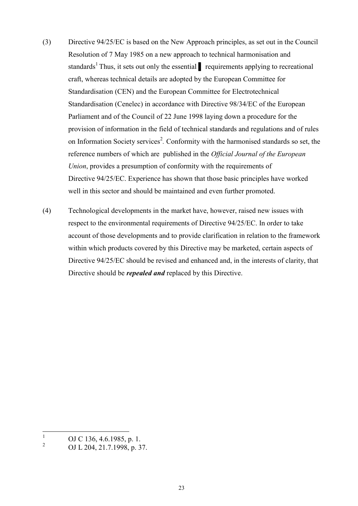- (3) Directive 94/25/EC is based on the New Approach principles, as set out in the Council Resolution of 7 May 1985 on a new approach to technical harmonisation and standards<sup>1</sup> Thus, it sets out only the essential requirements applying to recreational craft, whereas technical details are adopted by the European Committee for Standardisation (CEN) and the European Committee for Electrotechnical Standardisation (Cenelec) in accordance with Directive 98/34/EC of the European Parliament and of the Council of 22 June 1998 laying down a procedure for the provision of information in the field of technical standards and regulations and of rules on Information Society services<sup>2</sup>. Conformity with the harmonised standards so set, the reference numbers of which are published in the *Official Journal of the European Union*, provides a presumption of conformity with the requirements of Directive 94/25/EC. Experience has shown that those basic principles have worked well in this sector and should be maintained and even further promoted.
- (4) Technological developments in the market have, however, raised new issues with respect to the environmental requirements of Directive 94/25/EC. In order to take account of those developments and to provide clarification in relation to the framework within which products covered by this Directive may be marketed, certain aspects of Directive 94/25/EC should be revised and enhanced and, in the interests of clarity, that Directive should be *repealed and* replaced by this Directive.

 $\mathbf{1}$  $\frac{1}{2}$  OJ C 136, 4.6.1985, p. 1.

<sup>2</sup> OJ L 204, 21.7.1998, p. 37.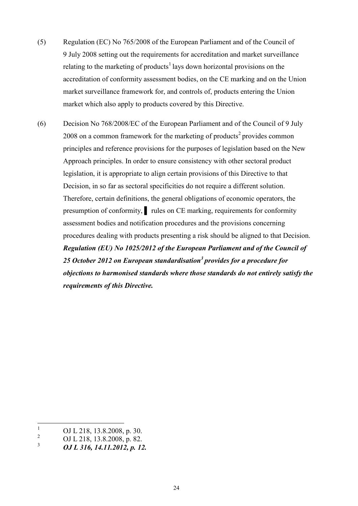- (5) Regulation (EC) No 765/2008 of the European Parliament and of the Council of 9 July 2008 setting out the requirements for accreditation and market surveillance relating to the marketing of products<sup>1</sup> lays down horizontal provisions on the accreditation of conformity assessment bodies, on the CE marking and on the Union market surveillance framework for, and controls of, products entering the Union market which also apply to products covered by this Directive.
- (6) Decision No 768/2008/EC of the European Parliament and of the Council of 9 July 2008 on a common framework for the marketing of products<sup>2</sup> provides common principles and reference provisions for the purposes of legislation based on the New Approach principles. In order to ensure consistency with other sectoral product legislation, it is appropriate to align certain provisions of this Directive to that Decision, in so far as sectoral specificities do not require a different solution. Therefore, certain definitions, the general obligations of economic operators, the presumption of conformity, rules on CE marking, requirements for conformity assessment bodies and notification procedures and the provisions concerning procedures dealing with products presenting a risk should be aligned to that Decision. *Regulation (EU) No 1025/2012 of the European Parliament and of the Council of 25 October 2012 on European standardisation<sup>3</sup> provides for a procedure for objections to harmonised standards where those standards do not entirely satisfy the requirements of this Directive.*

 $\,1$  $\frac{1}{2}$  OJ L 218, 13.8.2008, p. 30.

 $\frac{2}{3}$  OJ L 218, 13.8.2008, p. 82.

<sup>3</sup> *OJ L 316, 14.11.2012, p. 12.*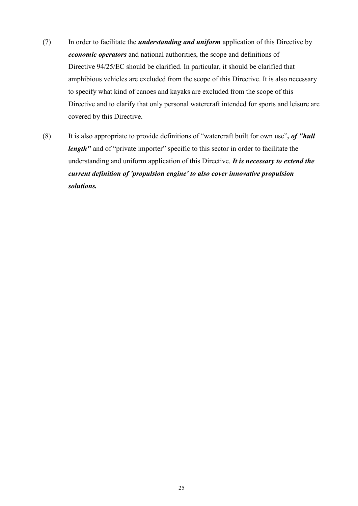- (7) In order to facilitate the *understanding and uniform* application of this Directive by *economic operators* and national authorities, the scope and definitions of Directive 94/25/EC should be clarified. In particular, it should be clarified that amphibious vehicles are excluded from the scope of this Directive. It is also necessary to specify what kind of canoes and kayaks are excluded from the scope of this Directive and to clarify that only personal watercraft intended for sports and leisure are covered by this Directive.
- (8) It is also appropriate to provide definitions of "watercraft built for own use"*, of "hull length*" and of "private importer" specific to this sector in order to facilitate the understanding and uniform application of this Directive. *It is necessary to extend the current definition of 'propulsion engine' to also cover innovative propulsion solutions.*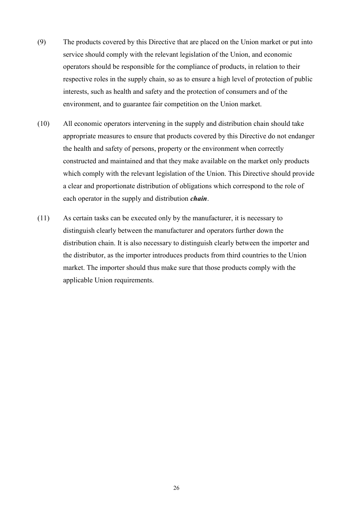- (9) The products covered by this Directive that are placed on the Union market or put into service should comply with the relevant legislation of the Union, and economic operators should be responsible for the compliance of products, in relation to their respective roles in the supply chain, so as to ensure a high level of protection of public interests, such as health and safety and the protection of consumers and of the environment, and to guarantee fair competition on the Union market.
- (10) All economic operators intervening in the supply and distribution chain should take appropriate measures to ensure that products covered by this Directive do not endanger the health and safety of persons, property or the environment when correctly constructed and maintained and that they make available on the market only products which comply with the relevant legislation of the Union. This Directive should provide a clear and proportionate distribution of obligations which correspond to the role of each operator in the supply and distribution *chain*.
- (11) As certain tasks can be executed only by the manufacturer, it is necessary to distinguish clearly between the manufacturer and operators further down the distribution chain. It is also necessary to distinguish clearly between the importer and the distributor, as the importer introduces products from third countries to the Union market. The importer should thus make sure that those products comply with the applicable Union requirements.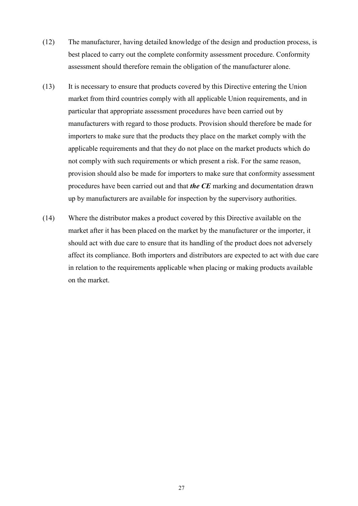- (12) The manufacturer, having detailed knowledge of the design and production process, is best placed to carry out the complete conformity assessment procedure. Conformity assessment should therefore remain the obligation of the manufacturer alone.
- (13) It is necessary to ensure that products covered by this Directive entering the Union market from third countries comply with all applicable Union requirements, and in particular that appropriate assessment procedures have been carried out by manufacturers with regard to those products. Provision should therefore be made for importers to make sure that the products they place on the market comply with the applicable requirements and that they do not place on the market products which do not comply with such requirements or which present a risk. For the same reason, provision should also be made for importers to make sure that conformity assessment procedures have been carried out and that *the CE* marking and documentation drawn up by manufacturers are available for inspection by the supervisory authorities.
- (14) Where the distributor makes a product covered by this Directive available on the market after it has been placed on the market by the manufacturer or the importer, it should act with due care to ensure that its handling of the product does not adversely affect its compliance. Both importers and distributors are expected to act with due care in relation to the requirements applicable when placing or making products available on the market.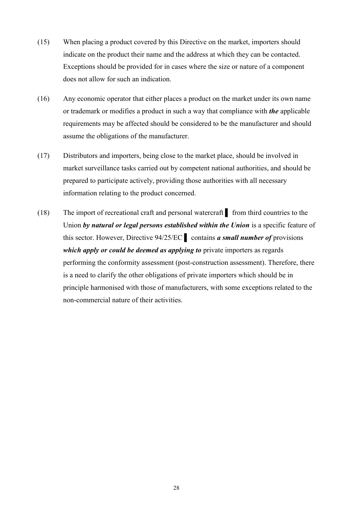- (15) When placing a product covered by this Directive on the market, importers should indicate on the product their name and the address at which they can be contacted. Exceptions should be provided for in cases where the size or nature of a component does not allow for such an indication.
- (16) Any economic operator that either places a product on the market under its own name or trademark or modifies a product in such a way that compliance with *the* applicable requirements may be affected should be considered to be the manufacturer and should assume the obligations of the manufacturer.
- (17) Distributors and importers, being close to the market place, should be involved in market surveillance tasks carried out by competent national authorities, and should be prepared to participate actively, providing those authorities with all necessary information relating to the product concerned.
- (18) The import of recreational craft and personal watercraft ▌ from third countries to the Union by natural or legal persons established within the Union is a specific feature of this sector. However, Directive 94/25/EC ▌ contains *a small number of* provisions *which apply or could be deemed as applying to private importers as regards* performing the conformity assessment (post-construction assessment). Therefore, there is a need to clarify the other obligations of private importers which should be in principle harmonised with those of manufacturers, with some exceptions related to the non-commercial nature of their activities.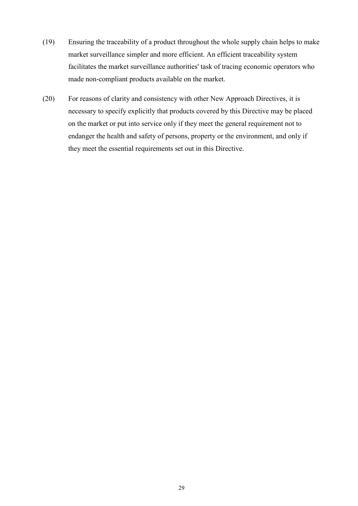- (19) Ensuring the traceability of a product throughout the whole supply chain helps to make market surveillance simpler and more efficient. An efficient traceability system facilitates the market surveillance authorities' task of tracing economic operators who made non-compliant products available on the market.
- (20) For reasons of clarity and consistency with other New Approach Directives, it is necessary to specify explicitly that products covered by this Directive may be placed on the market or put into service only if they meet the general requirement not to endanger the health and safety of persons, property or the environment, and only if they meet the essential requirements set out in this Directive.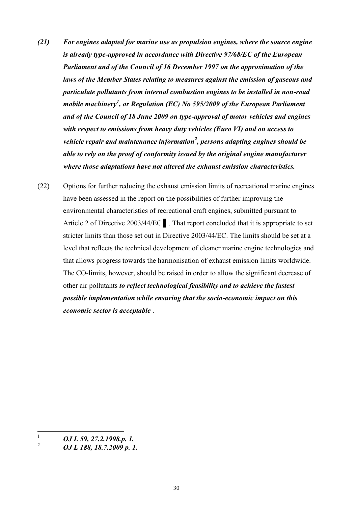- *(21) For engines adapted for marine use as propulsion engines, where the source engine is already type-approved in accordance with Directive 97/68/EC of the European Parliament and of the Council of 16 December 1997 on the approximation of the laws of the Member States relating to measures against the emission of gaseous and particulate pollutants from internal combustion engines to be installed in non-road mobile machinery<sup>1</sup> , or Regulation (EC) No 595/2009 of the European Parliament and of the Council of 18 June 2009 on type-approval of motor vehicles and engines with respect to emissions from heavy duty vehicles (Euro VI) and on access to vehicle repair and maintenance information<sup>2</sup> , persons adapting engines should be able to rely on the proof of conformity issued by the original engine manufacturer where those adaptations have not altered the exhaust emission characteristics.*
- (22) Options for further reducing the exhaust emission limits of recreational marine engines have been assessed in the report on the possibilities of further improving the environmental characteristics of recreational craft engines, submitted pursuant to Article 2 of Directive 2003/44/EC **.** That report concluded that it is appropriate to set stricter limits than those set out in Directive 2003/44/EC. The limits should be set at a level that reflects the technical development of cleaner marine engine technologies and that allows progress towards the harmonisation of exhaust emission limits worldwide. The CO-limits, however, should be raised in order to allow the significant decrease of other air pollutants *to reflect technological feasibility and to achieve the fastest possible implementation while ensuring that the socio-economic impact on this economic sector is acceptable* .

 $\mathbf{1}$ <sup>1</sup> *OJ L 59, 27.2.1998.p. 1.*

<sup>2</sup> *OJ L 188, 18.7.2009 p. 1.*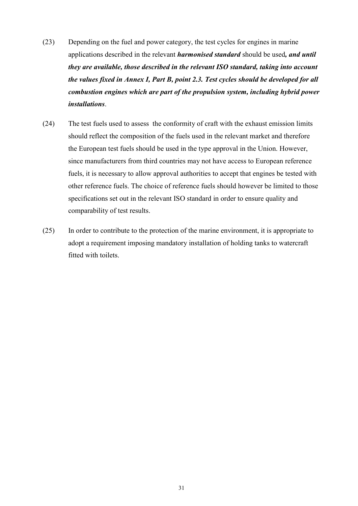- (23) Depending on the fuel and power category, the test cycles for engines in marine applications described in the relevant *harmonised standard* should be used*, and until they are available, those described in the relevant ISO standard, taking into account the values fixed in Annex I, Part B, point 2.3. Test cycles should be developed for all combustion engines which are part of the propulsion system, including hybrid power installations*.
- (24) The test fuels used to assess the conformity of craft with the exhaust emission limits should reflect the composition of the fuels used in the relevant market and therefore the European test fuels should be used in the type approval in the Union. However, since manufacturers from third countries may not have access to European reference fuels, it is necessary to allow approval authorities to accept that engines be tested with other reference fuels. The choice of reference fuels should however be limited to those specifications set out in the relevant ISO standard in order to ensure quality and comparability of test results.
- (25) In order to contribute to the protection of the marine environment, it is appropriate to adopt a requirement imposing mandatory installation of holding tanks to watercraft fitted with toilets.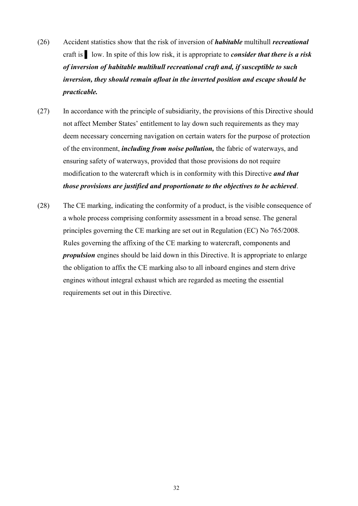- (26) Accident statistics show that the risk of inversion of *habitable* multihull *recreational*  craft is ▌ low. In spite of this low risk, it is appropriate to *consider that there is a risk of inversion of habitable multihull recreational craft and, if susceptible to such inversion, they should remain afloat in the inverted position and escape should be practicable.*
- (27) In accordance with the principle of subsidiarity, the provisions of this Directive should not affect Member States' entitlement to lay down such requirements as they may deem necessary concerning navigation on certain waters for the purpose of protection of the environment, *including from noise pollution,* the fabric of waterways, and ensuring safety of waterways, provided that those provisions do not require modification to the watercraft which is in conformity with this Directive *and that those provisions are justified and proportionate to the objectives to be achieved*.
- (28) The CE marking, indicating the conformity of a product, is the visible consequence of a whole process comprising conformity assessment in a broad sense. The general principles governing the CE marking are set out in Regulation (EC) No 765/2008. Rules governing the affixing of the CE marking to watercraft, components and *propulsion* engines should be laid down in this Directive. It is appropriate to enlarge the obligation to affix the CE marking also to all inboard engines and stern drive engines without integral exhaust which are regarded as meeting the essential requirements set out in this Directive.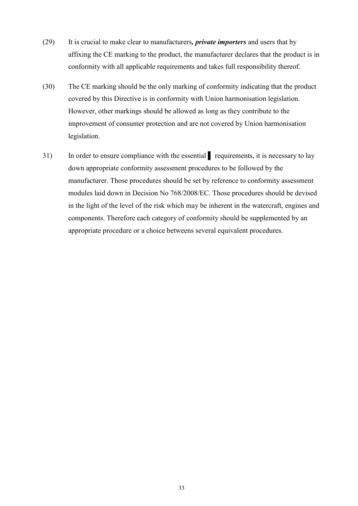- (29) It is crucial to make clear to manufacturers*, private importers* and users that by affixing the CE marking to the product, the manufacturer declares that the product is in conformity with all applicable requirements and takes full responsibility thereof.
- (30) The CE marking should be the only marking of conformity indicating that the product covered by this Directive is in conformity with Union harmonisation legislation. However, other markings should be allowed as long as they contribute to the improvement of consumer protection and are not covered by Union harmonisation legislation.
- 31) In order to ensure compliance with the essential requirements, it is necessary to lay down appropriate conformity assessment procedures to be followed by the manufacturer. Those procedures should be set by reference to conformity assessment modules laid down in Decision No 768/2008/EC. Those procedures should be devised in the light of the level of the risk which may be inherent in the watercraft, engines and components. Therefore each category of conformity should be supplemented by an appropriate procedure or a choice betweens several equivalent procedures.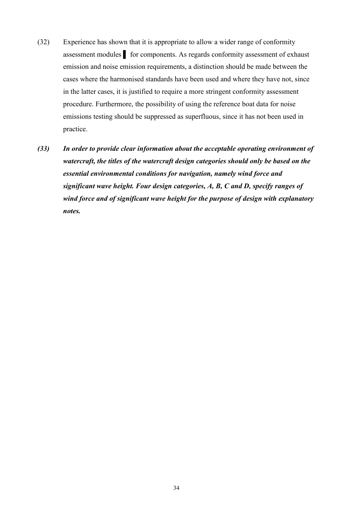- (32) Experience has shown that it is appropriate to allow a wider range of conformity assessment modules ▌ for components. As regards conformity assessment of exhaust emission and noise emission requirements, a distinction should be made between the cases where the harmonised standards have been used and where they have not, since in the latter cases, it is justified to require a more stringent conformity assessment procedure. Furthermore, the possibility of using the reference boat data for noise emissions testing should be suppressed as superfluous, since it has not been used in practice.
- *(33) In order to provide clear information about the acceptable operating environment of watercraft, the titles of the watercraft design categories should only be based on the essential environmental conditions for navigation, namely wind force and significant wave height. Four design categories, A, B, C and D, specify ranges of wind force and of significant wave height for the purpose of design with explanatory notes.*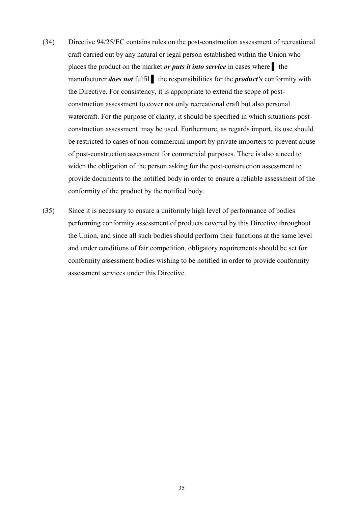- (34) Directive 94/25/EC contains rules on the post-construction assessment of recreational craft carried out by any natural or legal person established within the Union who places the product on the market *or puts it into service* in cases where ▌ the manufacturer *does not* fulfil ▌ the responsibilities for the *product's* conformity with the Directive. For consistency, it is appropriate to extend the scope of postconstruction assessment to cover not only recreational craft but also personal watercraft. For the purpose of clarity, it should be specified in which situations postconstruction assessment may be used. Furthermore, as regards import, its use should be restricted to cases of non-commercial import by private importers to prevent abuse of post-construction assessment for commercial purposes. There is also a need to widen the obligation of the person asking for the post-construction assessment to provide documents to the notified body in order to ensure a reliable assessment of the conformity of the product by the notified body.
- (35) Since it is necessary to ensure a uniformly high level of performance of bodies performing conformity assessment of products covered by this Directive throughout the Union, and since all such bodies should perform their functions at the same level and under conditions of fair competition, obligatory requirements should be set for conformity assessment bodies wishing to be notified in order to provide conformity assessment services under this Directive.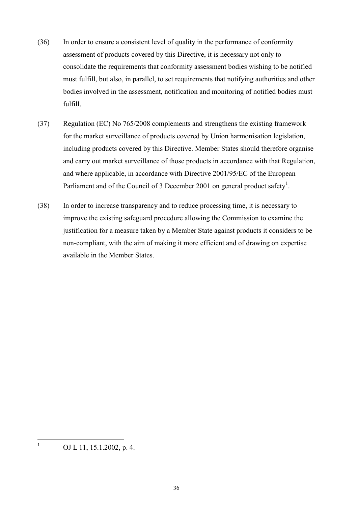- (36) In order to ensure a consistent level of quality in the performance of conformity assessment of products covered by this Directive, it is necessary not only to consolidate the requirements that conformity assessment bodies wishing to be notified must fulfill, but also, in parallel, to set requirements that notifying authorities and other bodies involved in the assessment, notification and monitoring of notified bodies must fulfill.
- (37) Regulation (EC) No 765/2008 complements and strengthens the existing framework for the market surveillance of products covered by Union harmonisation legislation, including products covered by this Directive. Member States should therefore organise and carry out market surveillance of those products in accordance with that Regulation, and where applicable, in accordance with Directive 2001/95/EC of the European Parliament and of the Council of 3 December 2001 on general product safety<sup>1</sup>.
- (38) In order to increase transparency and to reduce processing time, it is necessary to improve the existing safeguard procedure allowing the Commission to examine the justification for a measure taken by a Member State against products it considers to be non-compliant, with the aim of making it more efficient and of drawing on expertise available in the Member States.

 $\mathbf{1}$ OJ L 11, 15.1.2002, p. 4.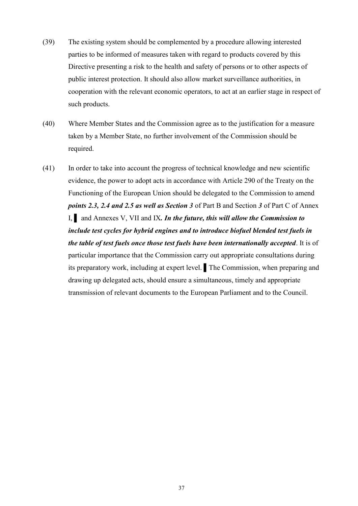- (39) The existing system should be complemented by a procedure allowing interested parties to be informed of measures taken with regard to products covered by this Directive presenting a risk to the health and safety of persons or to other aspects of public interest protection. It should also allow market surveillance authorities, in cooperation with the relevant economic operators, to act at an earlier stage in respect of such products.
- (40) Where Member States and the Commission agree as to the justification for a measure taken by a Member State, no further involvement of the Commission should be required.
- (41) In order to take into account the progress of technical knowledge and new scientific evidence, the power to adopt acts in accordance with Article 290 of the Treaty on the Functioning of the European Union should be delegated to the Commission to amend *points 2.3, 2.4 and 2.5 as well as Section 3* of Part B and Section *3* of Part C of Annex I, ▌ and Annexes V, VII and IX*. In the future, this will allow the Commission to include test cycles for hybrid engines and to introduce biofuel blended test fuels in the table of test fuels once those test fuels have been internationally accepted*. It is of particular importance that the Commission carry out appropriate consultations during its preparatory work, including at expert level. ▌The Commission, when preparing and drawing up delegated acts, should ensure a simultaneous, timely and appropriate transmission of relevant documents to the European Parliament and to the Council.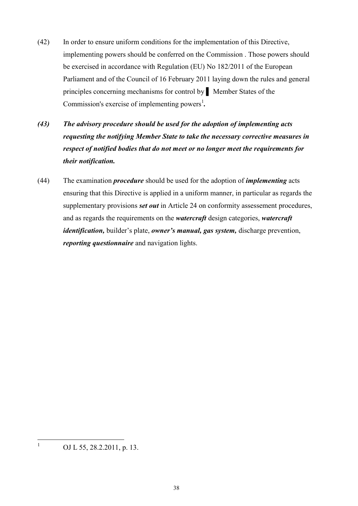- (42) In order to ensure uniform conditions for the implementation of this Directive, implementing powers should be conferred on the Commission . Those powers should be exercised in accordance with Regulation (EU) No 182/2011 of the European Parliament and of the Council of 16 February 2011 laying down the rules and general principles concerning mechanisms for control by ▌ Member States of the Commission's exercise of implementing powers<sup>1</sup>.
- *(43) The advisory procedure should be used for the adoption of implementing acts requesting the notifying Member State to take the necessary corrective measures in respect of notified bodies that do not meet or no longer meet the requirements for their notification.*
- (44) The examination *procedure* should be used for the adoption of *implementing* acts ensuring that this Directive is applied in a uniform manner, in particular as regards the supplementary provisions *set out* in Article 24 on conformity assessement procedures, and as regards the requirements on the *watercraft* design categories, *watercraft identification,* builder's plate, *owner's manual, gas system,* discharge prevention, *reporting questionnaire* and navigation lights.

 $\frac{1}{1}$ 

OJ L 55, 28.2.2011, p. 13.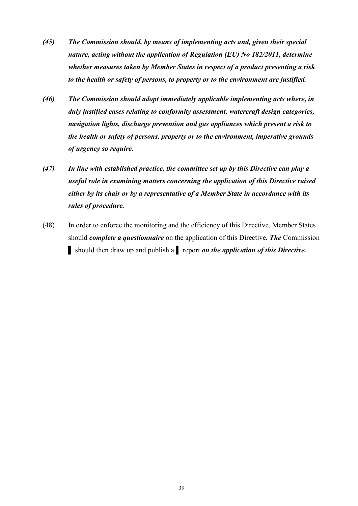- *(45) The Commission should, by means of implementing acts and, given their special nature, acting without the application of Regulation (EU) No 182/2011, determine whether measures taken by Member States in respect of a product presenting a risk to the health or safety of persons, to property or to the environment are justified.*
- *(46) The Commission should adopt immediately applicable implementing acts where, in duly justified cases relating to conformity assessment, watercraft design categories, navigation lights, discharge prevention and gas appliances which present a risk to the health or safety of persons, property or to the environment, imperative grounds of urgency so require.*
- *(47) In line with established practice, the committee set up by this Directive can play a useful role in examining matters concerning the application of this Directive raised either by its chair or by a representative of a Member State in accordance with its rules of procedure.*
- (48) In order to enforce the monitoring and the efficiency of this Directive, Member States should *complete a questionnaire* on the application of this Directive*. The* Commission ▌ should then draw up and publish a ▌ report *on the application of this Directive.*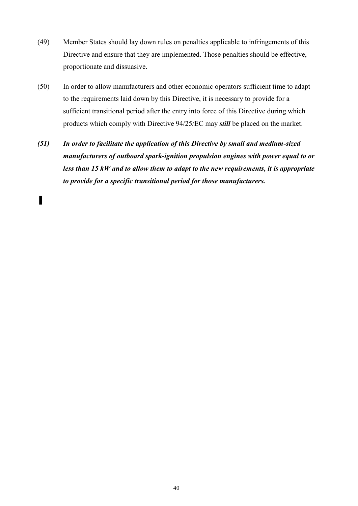- (49) Member States should lay down rules on penalties applicable to infringements of this Directive and ensure that they are implemented. Those penalties should be effective, proportionate and dissuasive.
- (50) In order to allow manufacturers and other economic operators sufficient time to adapt to the requirements laid down by this Directive, it is necessary to provide for a sufficient transitional period after the entry into force of this Directive during which products which comply with Directive 94/25/EC may *still* be placed on the market.
- *(51) In order to facilitate the application of this Directive by small and medium-sized manufacturers of outboard spark-ignition propulsion engines with power equal to or less than 15 kW and to allow them to adapt to the new requirements, it is appropriate to provide for a specific transitional period for those manufacturers.*

▌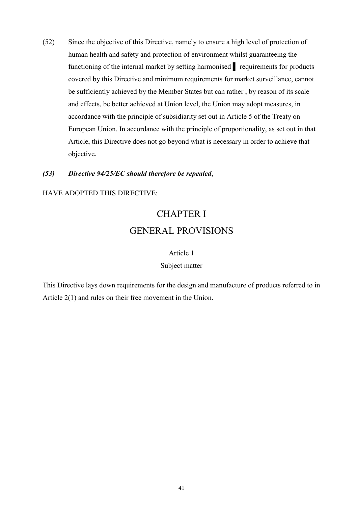(52) Since the objective of this Directive, namely to ensure a high level of protection of human health and safety and protection of environment whilst guaranteeing the functioning of the internal market by setting harmonised requirements for products covered by this Directive and minimum requirements for market surveillance, cannot be sufficiently achieved by the Member States but can rather , by reason of its scale and effects, be better achieved at Union level, the Union may adopt measures, in accordance with the principle of subsidiarity set out in Article 5 of the Treaty on European Union. In accordance with the principle of proportionality, as set out in that Article, this Directive does not go beyond what is necessary in order to achieve that objective*.*

# *(53) Directive 94/25/EC should therefore be repealed*,

### HAVE ADOPTED THIS DIRECTIVE:

# CHAPTER I GENERAL PROVISIONS

#### Article 1

#### Subject matter

This Directive lays down requirements for the design and manufacture of products referred to in Article 2(1) and rules on their free movement in the Union.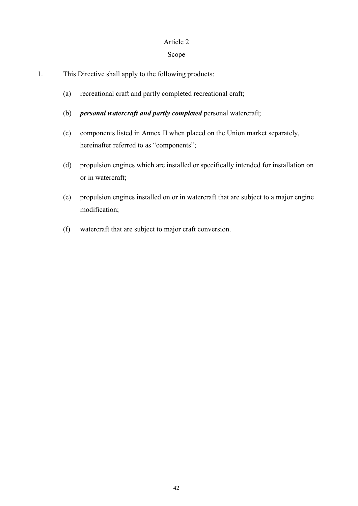### Article 2

# Scope

- 1. This Directive shall apply to the following products:
	- (a) recreational craft and partly completed recreational craft;
	- (b) *personal watercraft and partly completed* personal watercraft;
	- (c) components listed in Annex II when placed on the Union market separately, hereinafter referred to as "components";
	- (d) propulsion engines which are installed or specifically intended for installation on or in watercraft;
	- (e) propulsion engines installed on or in watercraft that are subject to a major engine modification;
	- (f) watercraft that are subject to major craft conversion.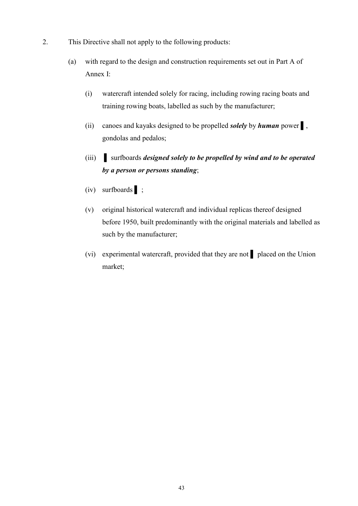- 2. This Directive shall not apply to the following products:
	- (a) with regard to the design and construction requirements set out in Part A of Annex I:
		- (i) watercraft intended solely for racing, including rowing racing boats and training rowing boats, labelled as such by the manufacturer;
		- (ii) canoes and kayaks designed to be propelled *solely* by *human* power ▌, gondolas and pedalos;
		- (iii) ▌ surfboards *designed solely to be propelled by wind and to be operated by a person or persons standing*;
		- (iv) surfboards ▌ ;
		- (v) original historical watercraft and individual replicas thereof designed before 1950, built predominantly with the original materials and labelled as such by the manufacturer;
		- (vi) experimental watercraft, provided that they are not *▌* placed on the Union market;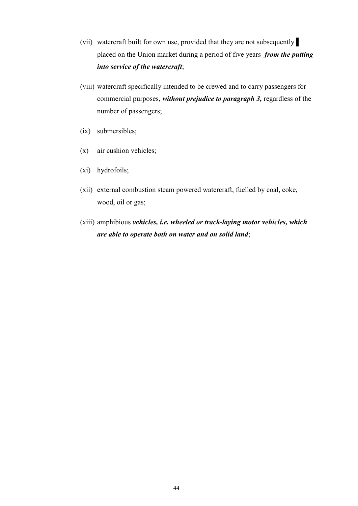- (vii) watercraft built for own use, provided that they are not subsequently ▌ placed on the Union market during a period of five years *from the putting into service of the watercraft*;
- (viii) watercraft specifically intended to be crewed and to carry passengers for commercial purposes, *without prejudice to paragraph 3,* regardless of the number of passengers;
- (ix) submersibles;
- (x) air cushion vehicles;
- (xi) hydrofoils;
- (xii) external combustion steam powered watercraft, fuelled by coal, coke, wood, oil or gas;
- (xiii) amphibious *vehicles, i.e. wheeled or track-laying motor vehicles, which are able to operate both on water and on solid land*;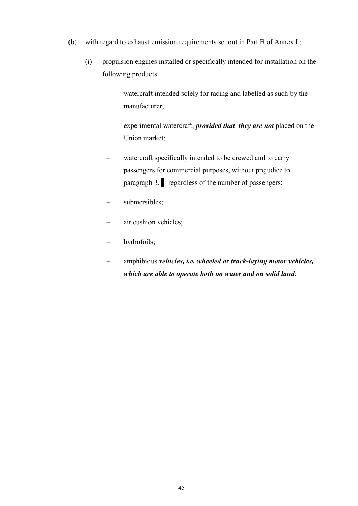- (b) with regard to exhaust emission requirements set out in Part B of Annex I :
	- (i) propulsion engines installed or specifically intended for installation on the following products:
		- watercraft intended solely for racing and labelled as such by the manufacturer;
		- experimental watercraft, *provided that they are not* placed on the Union market;
		- watercraft specifically intended to be crewed and to carry passengers for commercial purposes, without prejudice to paragraph 3, **p** regardless of the number of passengers;
		- submersibles;
		- air cushion vehicles;
		- hydrofoils;
		- amphibious *vehicles, i.e. wheeled or track-laying motor vehicles, which are able to operate both on water and on solid land*;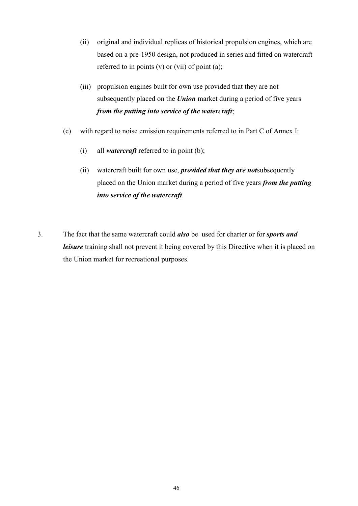- (ii) original and individual replicas of historical propulsion engines, which are based on a pre-1950 design, not produced in series and fitted on watercraft referred to in points  $(v)$  or  $(vii)$  of point  $(a)$ ;
- (iii) propulsion engines built for own use provided that they are not subsequently placed on the *Union* market during a period of five years *from the putting into service of the watercraft*;
- (c) with regard to noise emission requirements referred to in Part C of Annex I:
	- (i) all *watercraft* referred to in point (b);
	- (ii) watercraft built for own use, *provided that they are not*subsequently placed on the Union market during a period of five years *from the putting into service of the watercraft*.
- 3. The fact that the same watercraft could *also* be used for charter or for *sports and leisure* training shall not prevent it being covered by this Directive when it is placed on the Union market for recreational purposes.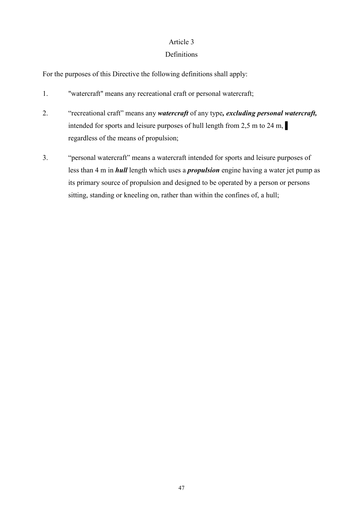# Article 3

# Definitions

For the purposes of this Directive the following definitions shall apply:

- 1. "watercraft" means any recreational craft or personal watercraft;
- 2. "recreational craft" means any *watercraft* of any type*, excluding personal watercraft,*  intended for sports and leisure purposes of hull length from 2,5 m to 24 m, regardless of the means of propulsion;
- 3. "personal watercraft" means a watercraft intended for sports and leisure purposes of less than 4 m in *hull* length which uses a *propulsion* engine having a water jet pump as its primary source of propulsion and designed to be operated by a person or persons sitting, standing or kneeling on, rather than within the confines of, a hull;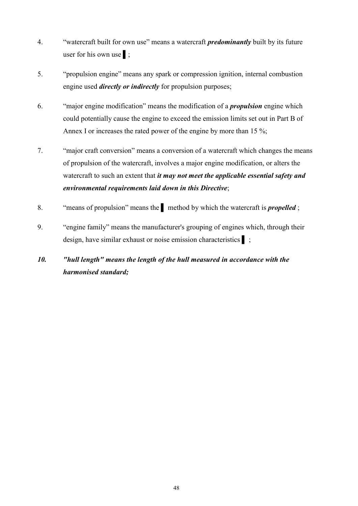- 4. "watercraft built for own use" means a watercraft *predominantly* built by its future user for his own use **i**;
- 5. "propulsion engine" means any spark or compression ignition, internal combustion engine used *directly or indirectly* for propulsion purposes;
- 6. "major engine modification" means the modification of a *propulsion* engine which could potentially cause the engine to exceed the emission limits set out in Part B of Annex I or increases the rated power of the engine by more than 15 %;
- 7. "major craft conversion" means a conversion of a watercraft which changes the means of propulsion of the watercraft, involves a major engine modification, or alters the watercraft to such an extent that *it may not meet the applicable essential safety and environmental requirements laid down in this Directive*;
- 8. "means of propulsion" means the ▌ method by which the watercraft is *propelled* ;
- 9. "engine family" means the manufacturer's grouping of engines which, through their design, have similar exhaust or noise emission characteristics ▌ ;

# *10. "hull length" means the length of the hull measured in accordance with the harmonised standard;*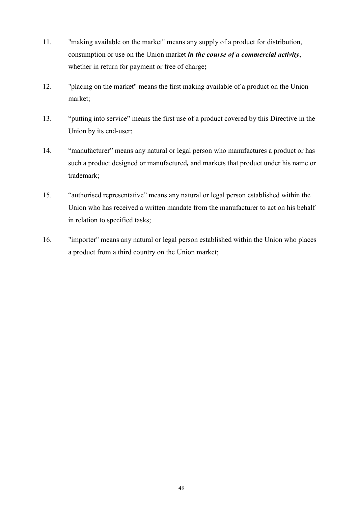- 11. "making available on the market" means any supply of a product for distribution, consumption or use on the Union market *in the course of a commercial activity*, whether in return for payment or free of charge**;**
- 12. "placing on the market" means the first making available of a product on the Union market;
- 13. "putting into service" means the first use of a product covered by this Directive in the Union by its end-user;
- 14. "manufacturer" means any natural or legal person who manufactures a product or has such a product designed or manufactured*,* and markets that product under his name or trademark;
- 15. "authorised representative" means any natural or legal person established within the Union who has received a written mandate from the manufacturer to act on his behalf in relation to specified tasks;
- 16. "importer" means any natural or legal person established within the Union who places a product from a third country on the Union market;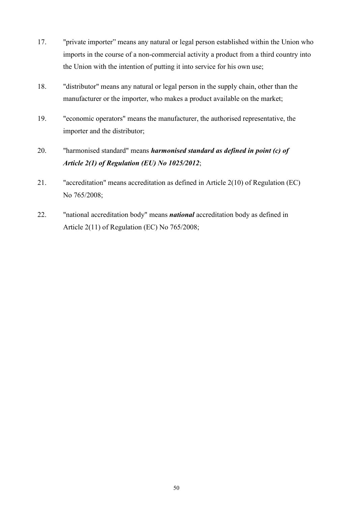- 17. "private importer" means any natural or legal person established within the Union who imports in the course of a non-commercial activity a product from a third country into the Union with the intention of putting it into service for his own use;
- 18. "distributor" means any natural or legal person in the supply chain, other than the manufacturer or the importer, who makes a product available on the market;
- 19. "economic operators" means the manufacturer, the authorised representative, the importer and the distributor;
- 20. "harmonised standard" means *harmonised standard as defined in point (c) of Article 2(1) of Regulation (EU) No 1025/2012*;
- 21. "accreditation" means accreditation as defined in Article 2(10) of Regulation (EC) No 765/2008;
- 22. "national accreditation body" means *national* accreditation body as defined in Article 2(11) of Regulation (EC) No 765/2008;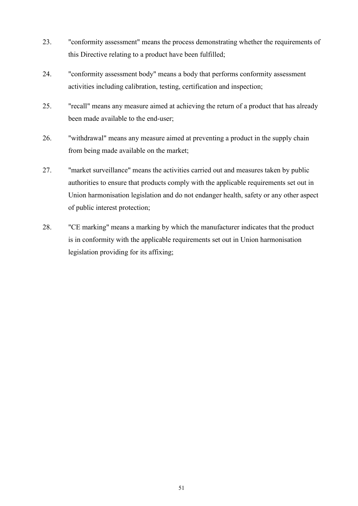- 23. "conformity assessment" means the process demonstrating whether the requirements of this Directive relating to a product have been fulfilled;
- 24. "conformity assessment body" means a body that performs conformity assessment activities including calibration, testing, certification and inspection;
- 25. "recall" means any measure aimed at achieving the return of a product that has already been made available to the end-user;
- 26. "withdrawal" means any measure aimed at preventing a product in the supply chain from being made available on the market;
- 27. "market surveillance" means the activities carried out and measures taken by public authorities to ensure that products comply with the applicable requirements set out in Union harmonisation legislation and do not endanger health, safety or any other aspect of public interest protection;
- 28. "CE marking" means a marking by which the manufacturer indicates that the product is in conformity with the applicable requirements set out in Union harmonisation legislation providing for its affixing;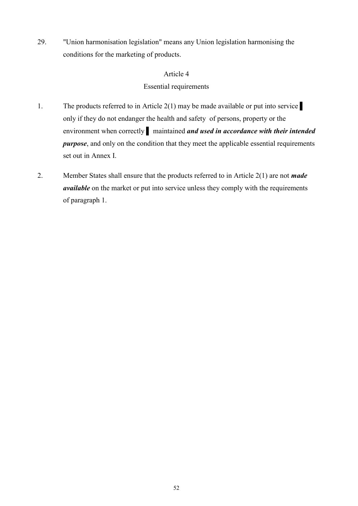29. "Union harmonisation legislation" means any Union legislation harmonising the conditions for the marketing of products.

# Article 4

# Essential requirements

- 1. The products referred to in Article 2(1) may be made available or put into service only if they do not endanger the health and safety of persons, property or the environment when correctly ▌ maintained *and used in accordance with their intended purpose*, and only on the condition that they meet the applicable essential requirements set out in Annex I.
- 2. Member States shall ensure that the products referred to in Article 2(1) are not *made available* on the market or put into service unless they comply with the requirements of paragraph 1.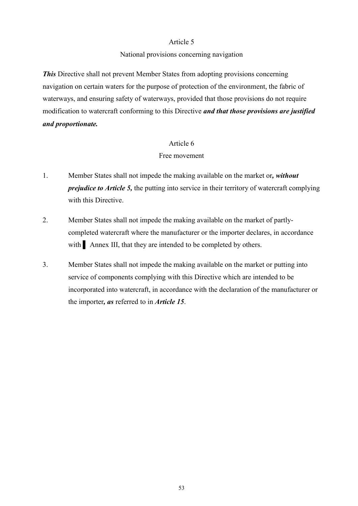#### Article 5

#### National provisions concerning navigation

*This* Directive shall not prevent Member States from adopting provisions concerning navigation on certain waters for the purpose of protection of the environment, the fabric of waterways, and ensuring safety of waterways, provided that those provisions do not require modification to watercraft conforming to this Directive *and that those provisions are justified and proportionate.* 

#### Article 6

### Free movement

- 1. Member States shall not impede the making available on the market or*, without prejudice to Article 5,* the putting into service in their territory of watercraft complying with this Directive.
- 2. Member States shall not impede the making available on the market of partlycompleted watercraft where the manufacturer or the importer declares, in accordance with **Annex III**, that they are intended to be completed by others.
- 3. Member States shall not impede the making available on the market or putting into service of components complying with this Directive which are intended to be incorporated into watercraft, in accordance with the declaration of the manufacturer or the importer*, as* referred to in *Article 15*.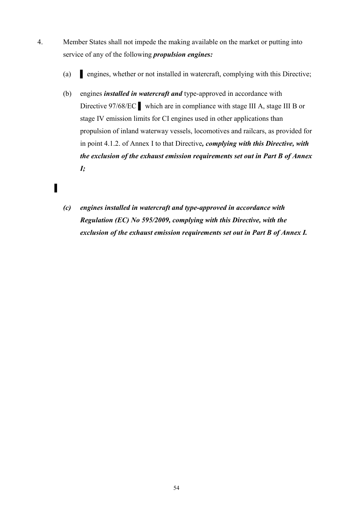- 4. Member States shall not impede the making available on the market or putting into service of any of the following *propulsion engines:*
	- (a) ▌ engines, whether or not installed in watercraft, complying with this Directive;
	- (b) engines *installed in watercraft and* type-approved in accordance with Directive 97/68/EC ▌ which are in compliance with stage III A, stage III B or stage IV emission limits for CI engines used in other applications than propulsion of inland waterway vessels, locomotives and railcars, as provided for in point 4.1.2. of Annex I to that Directive*, complying with this Directive, with the exclusion of the exhaust emission requirements set out in Part B of Annex I;*
	- *(c) engines installed in watercraft and type-approved in accordance with Regulation (EC) No 595/2009, complying with this Directive, with the exclusion of the exhaust emission requirements set out in Part B of Annex I.*

▌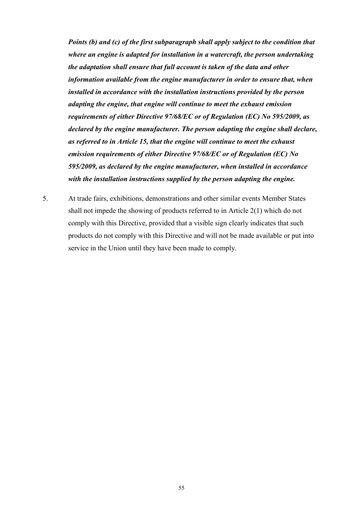*Points (b) and (c) of the first subparagraph shall apply subject to the condition that where an engine is adapted for installation in a watercraft, the person undertaking the adaptation shall ensure that full account is taken of the data and other information available from the engine manufacturer in order to ensure that, when installed in accordance with the installation instructions provided by the person adapting the engine, that engine will continue to meet the exhaust emission requirements of either Directive 97/68/EC or of Regulation (EC) No 595/2009, as declared by the engine manufacturer. The person adapting the engine shall declare, as referred to in Article 15, that the engine will continue to meet the exhaust emission requirements of either Directive 97/68/EC or of Regulation (EC) No 595/2009, as declared by the engine manufacturer, when installed in accordance with the installation instructions supplied by the person adapting the engine.* 

5. At trade fairs, exhibitions, demonstrations and other similar events Member States shall not impede the showing of products referred to in Article 2(1) which do not comply with this Directive, provided that a visible sign clearly indicates that such products do not comply with this Directive and will not be made available or put into service in the Union until they have been made to comply.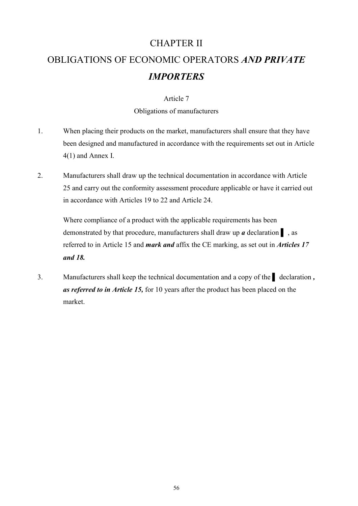# CHAPTER II OBLIGATIONS OF ECONOMIC OPERATORS *AND PRIVATE IMPORTERS*

### Article 7

### Obligations of manufacturers

- 1. When placing their products on the market, manufacturers shall ensure that they have been designed and manufactured in accordance with the requirements set out in Article 4(1) and Annex I.
- 2. Manufacturers shall draw up the technical documentation in accordance with Article 25 and carry out the conformity assessment procedure applicable or have it carried out in accordance with Articles 19 to 22 and Article 24.

Where compliance of a product with the applicable requirements has been demonstrated by that procedure, manufacturers shall draw up *a* declaration ▌ , as referred to in Article 15 and *mark and* affix the CE marking, as set out in *Articles 17 and 18.*

3. Manufacturers shall keep the technical documentation and a copy of the declaration, *as referred to in Article 15,* for 10 years after the product has been placed on the market.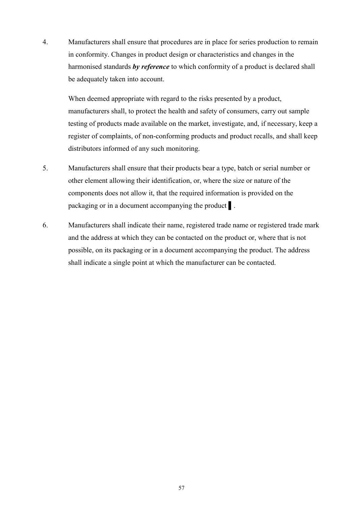4. Manufacturers shall ensure that procedures are in place for series production to remain in conformity. Changes in product design or characteristics and changes in the harmonised standards *by reference* to which conformity of a product is declared shall be adequately taken into account.

When deemed appropriate with regard to the risks presented by a product, manufacturers shall, to protect the health and safety of consumers, carry out sample testing of products made available on the market, investigate, and, if necessary, keep a register of complaints, of non-conforming products and product recalls, and shall keep distributors informed of any such monitoring.

- 5. Manufacturers shall ensure that their products bear a type, batch or serial number or other element allowing their identification, or, where the size or nature of the components does not allow it, that the required information is provided on the packaging or in a document accompanying the product ▌.
- 6. Manufacturers shall indicate their name, registered trade name or registered trade mark and the address at which they can be contacted on the product or, where that is not possible, on its packaging or in a document accompanying the product. The address shall indicate a single point at which the manufacturer can be contacted.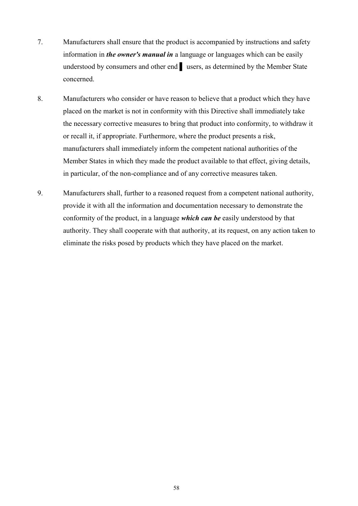- 7. Manufacturers shall ensure that the product is accompanied by instructions and safety information in *the owner's manual in* a language or languages which can be easily understood by consumers and other end ▌ users, as determined by the Member State concerned.
- 8. Manufacturers who consider or have reason to believe that a product which they have placed on the market is not in conformity with this Directive shall immediately take the necessary corrective measures to bring that product into conformity, to withdraw it or recall it, if appropriate. Furthermore, where the product presents a risk, manufacturers shall immediately inform the competent national authorities of the Member States in which they made the product available to that effect, giving details, in particular, of the non-compliance and of any corrective measures taken.
- 9. Manufacturers shall, further to a reasoned request from a competent national authority, provide it with all the information and documentation necessary to demonstrate the conformity of the product, in a language *which can be* easily understood by that authority. They shall cooperate with that authority, at its request, on any action taken to eliminate the risks posed by products which they have placed on the market.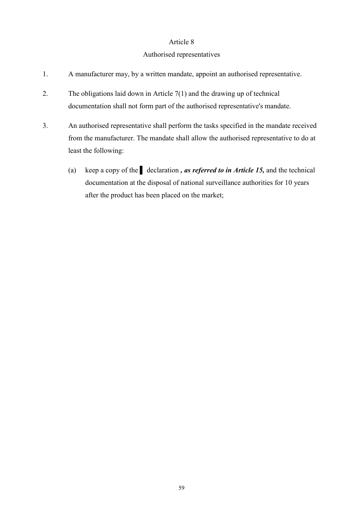#### Authorised representatives

- 1. A manufacturer may, by a written mandate, appoint an authorised representative.
- 2. The obligations laid down in Article 7(1) and the drawing up of technical documentation shall not form part of the authorised representative's mandate.
- 3. An authorised representative shall perform the tasks specified in the mandate received from the manufacturer. The mandate shall allow the authorised representative to do at least the following:
	- (a) keep a copy of the ▌ declaration *, as referred to in Article 15,* and the technical documentation at the disposal of national surveillance authorities for 10 years after the product has been placed on the market;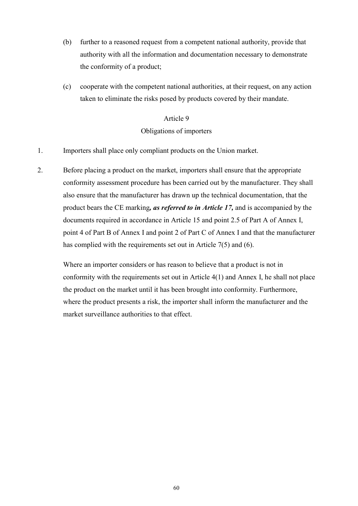- (b) further to a reasoned request from a competent national authority, provide that authority with all the information and documentation necessary to demonstrate the conformity of a product;
- (c) cooperate with the competent national authorities, at their request, on any action taken to eliminate the risks posed by products covered by their mandate.

# Obligations of importers

- 1. Importers shall place only compliant products on the Union market.
- 2. Before placing a product on the market, importers shall ensure that the appropriate conformity assessment procedure has been carried out by the manufacturer. They shall also ensure that the manufacturer has drawn up the technical documentation, that the product bears the CE marking*, as referred to in Article 17,* and is accompanied by the documents required in accordance in Article 15 and point 2.5 of Part A of Annex I, point 4 of Part B of Annex I and point 2 of Part C of Annex I and that the manufacturer has complied with the requirements set out in Article 7(5) and (6).

Where an importer considers or has reason to believe that a product is not in conformity with the requirements set out in Article 4(1) and Annex I, he shall not place the product on the market until it has been brought into conformity. Furthermore, where the product presents a risk, the importer shall inform the manufacturer and the market surveillance authorities to that effect.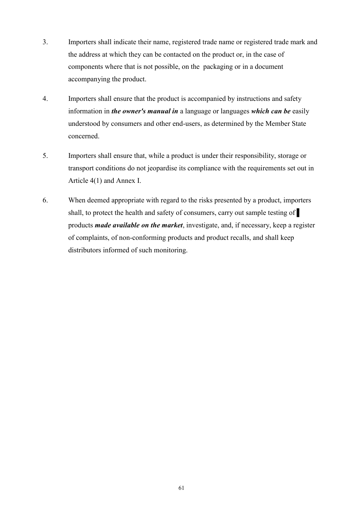- 3. Importers shall indicate their name, registered trade name or registered trade mark and the address at which they can be contacted on the product or, in the case of components where that is not possible, on the packaging or in a document accompanying the product.
- 4. Importers shall ensure that the product is accompanied by instructions and safety information in *the owner's manual in* a language or languages *which can be* easily understood by consumers and other end-users, as determined by the Member State concerned.
- 5. Importers shall ensure that, while a product is under their responsibility, storage or transport conditions do not jeopardise its compliance with the requirements set out in Article 4(1) and Annex I.
- 6. When deemed appropriate with regard to the risks presented by a product, importers shall, to protect the health and safety of consumers, carry out sample testing of products *made available on the market*, investigate, and, if necessary, keep a register of complaints, of non-conforming products and product recalls, and shall keep distributors informed of such monitoring.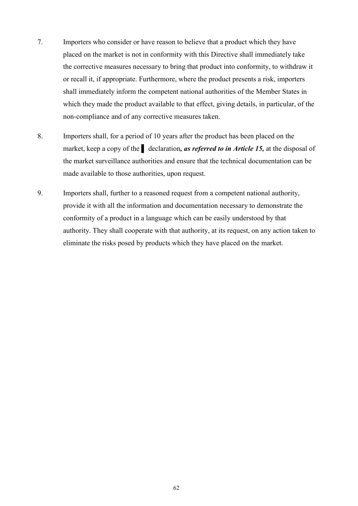- 7. Importers who consider or have reason to believe that a product which they have placed on the market is not in conformity with this Directive shall immediately take the corrective measures necessary to bring that product into conformity, to withdraw it or recall it, if appropriate. Furthermore, where the product presents a risk, importers shall immediately inform the competent national authorities of the Member States in which they made the product available to that effect, giving details, in particular, of the non-compliance and of any corrective measures taken.
- 8. Importers shall, for a period of 10 years after the product has been placed on the market, keep a copy of the ▌ declaration*, as referred to in Article 15,* at the disposal of the market surveillance authorities and ensure that the technical documentation can be made available to those authorities, upon request.
- 9. Importers shall, further to a reasoned request from a competent national authority, provide it with all the information and documentation necessary to demonstrate the conformity of a product in a language which can be easily understood by that authority. They shall cooperate with that authority, at its request, on any action taken to eliminate the risks posed by products which they have placed on the market.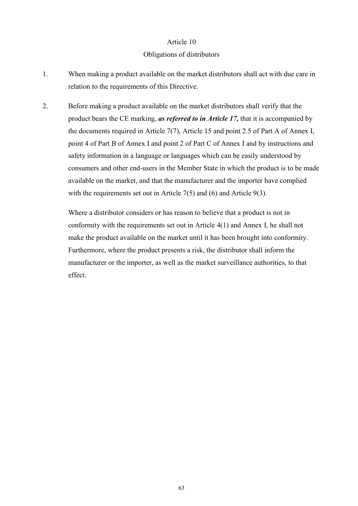#### Obligations of distributors

- 1. When making a product available on the market distributors shall act with due care in relation to the requirements of this Directive.
- 2. Before making a product available on the market distributors shall verify that the product bears the CE marking, *as referred to in Article 17,* that it is accompanied by the documents required in Article 7(7), Article 15 and point 2.5 of Part A of Annex I, point 4 of Part B of Annex I and point 2 of Part C of Annex I and by instructions and safety information in a language or languages which can be easily understood by consumers and other end-users in the Member State in which the product is to be made available on the market, and that the manufacturer and the importer have complied with the requirements set out in Article 7(5) and (6) and Article 9(3).

Where a distributor considers or has reason to believe that a product is not in conformity with the requirements set out in Article 4(1) and Annex I, he shall not make the product available on the market until it has been brought into conformity. Furthermore, where the product presents a risk, the distributor shall inform the manufacturer or the importer, as well as the market surveillance authorities, to that effect.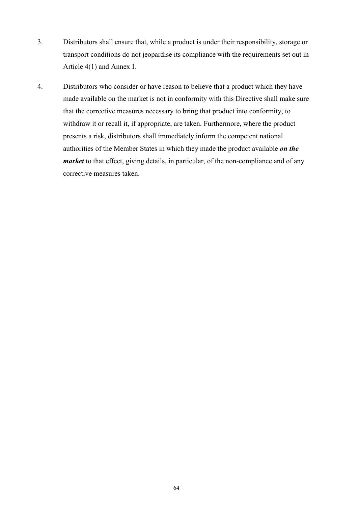- 3. Distributors shall ensure that, while a product is under their responsibility, storage or transport conditions do not jeopardise its compliance with the requirements set out in Article 4(1) and Annex I.
- 4. Distributors who consider or have reason to believe that a product which they have made available on the market is not in conformity with this Directive shall make sure that the corrective measures necessary to bring that product into conformity, to withdraw it or recall it, if appropriate, are taken. Furthermore, where the product presents a risk, distributors shall immediately inform the competent national authorities of the Member States in which they made the product available *on the market* to that effect, giving details, in particular, of the non-compliance and of any corrective measures taken.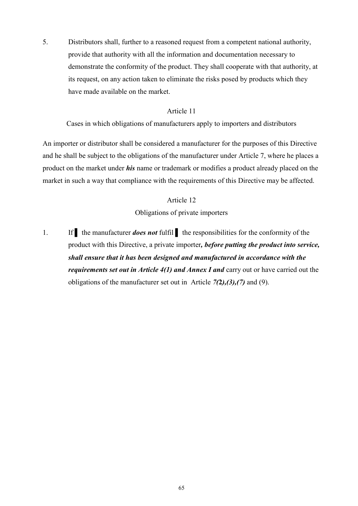5. Distributors shall, further to a reasoned request from a competent national authority, provide that authority with all the information and documentation necessary to demonstrate the conformity of the product. They shall cooperate with that authority, at its request, on any action taken to eliminate the risks posed by products which they have made available on the market.

#### Article 11

Cases in which obligations of manufacturers apply to importers and distributors

An importer or distributor shall be considered a manufacturer for the purposes of this Directive and he shall be subject to the obligations of the manufacturer under Article 7, where he places a product on the market under *his* name or trademark or modifies a product already placed on the market in such a way that compliance with the requirements of this Directive may be affected.

#### Article 12

Obligations of private importers

1. If the manufacturer *does not* fulfil the responsibilities for the conformity of the product with this Directive, a private importer*, before putting the product into service, shall ensure that it has been designed and manufactured in accordance with the requirements set out in Article 4(1) and Annex I and* carry out or have carried out the obligations of the manufacturer set out in Article *7(***2***),(3),(7)* and (9).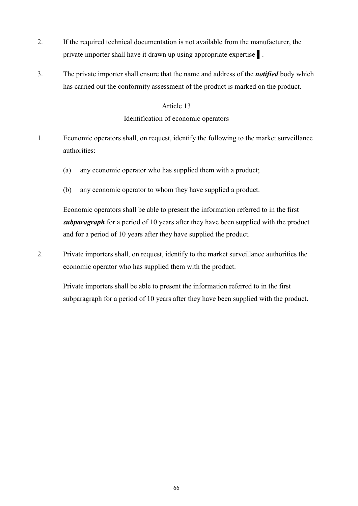- 2. If the required technical documentation is not available from the manufacturer, the private importer shall have it drawn up using appropriate expertise **i**.
- 3. The private importer shall ensure that the name and address of the *notified* body which has carried out the conformity assessment of the product is marked on the product.

# Article 13 Identification of economic operators

- 1. Economic operators shall, on request, identify the following to the market surveillance authorities:
	- (a) any economic operator who has supplied them with a product;
	- (b) any economic operator to whom they have supplied a product.

Economic operators shall be able to present the information referred to in the first *subparagraph* for a period of 10 years after they have been supplied with the product and for a period of 10 years after they have supplied the product.

2. Private importers shall, on request, identify to the market surveillance authorities the economic operator who has supplied them with the product.

Private importers shall be able to present the information referred to in the first subparagraph for a period of 10 years after they have been supplied with the product.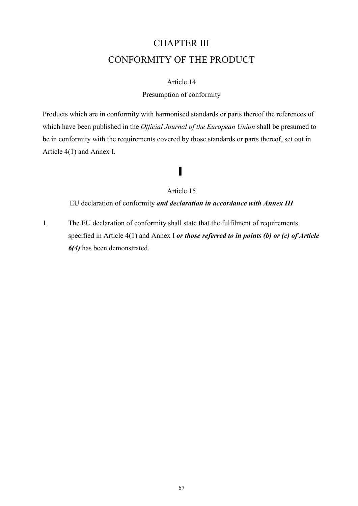# CHAPTER III CONFORMITY OF THE PRODUCT

#### Article 14

#### Presumption of conformity

Products which are in conformity with harmonised standards or parts thereof the references of which have been published in the *Official Journal of the European Union* shall be presumed to be in conformity with the requirements covered by those standards or parts thereof, set out in Article 4(1) and Annex I.

# ▌

#### Article 15

EU declaration of conformity *and declaration in accordance with Annex III*

1. The EU declaration of conformity shall state that the fulfilment of requirements specified in Article 4(1) and Annex I *or those referred to in points (b) or (c) of Article 6(4)* has been demonstrated.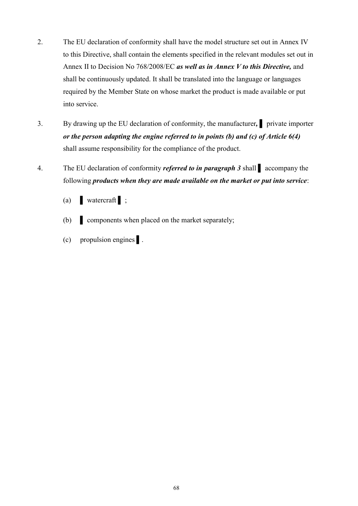- 2. The EU declaration of conformity shall have the model structure set out in Annex IV to this Directive, shall contain the elements specified in the relevant modules set out in Annex II to Decision No 768/2008/EC *as well as in Annex V to this Directive,* and shall be continuously updated. It shall be translated into the language or languages required by the Member State on whose market the product is made available or put into service.
- 3. By drawing up the EU declaration of conformity, the manufacturer*,* ▌ private importer *or the person adapting the engine referred to in points (b) and (c) of Article 6(4)*  shall assume responsibility for the compliance of the product.
- 4. The EU declaration of conformity *referred to in paragraph 3* shall ▌ accompany the following *products when they are made available on the market or put into service*:
	- (a)  $\blacksquare$  watercraft  $\blacksquare$ ;
	- (b) components when placed on the market separately;
	- (c) propulsion engines ▌.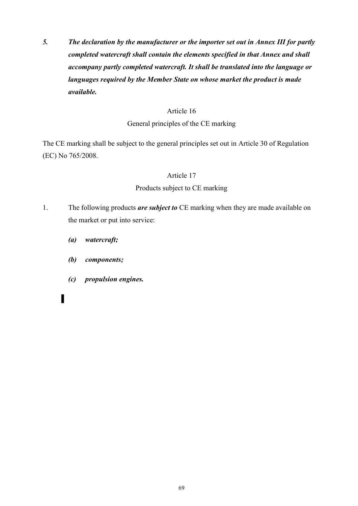*5. The declaration by the manufacturer or the importer set out in Annex III for partly completed watercraft shall contain the elements specified in that Annex and shall accompany partly completed watercraft. It shall be translated into the language or languages required by the Member State on whose market the product is made available.* 

### Article 16

# General principles of the CE marking

The CE marking shall be subject to the general principles set out in Article 30 of Regulation (EC) No 765/2008.

# Article 17

# Products subject to CE marking

- 1. The following products *are subject to* CE marking when they are made available on the market or put into service:
	- *(a) watercraft;*
	- *(b) components;*
	- *(c) propulsion engines.*
	- *▌*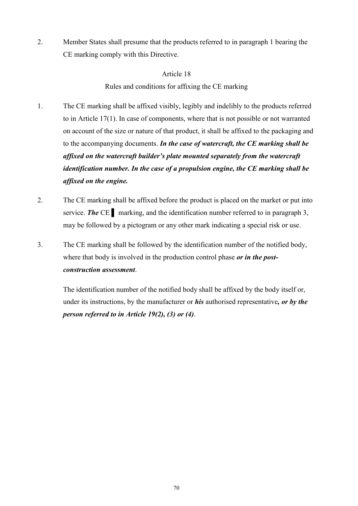2. Member States shall presume that the products referred to in paragraph 1 bearing the CE marking comply with this Directive.

### Article 18

Rules and conditions for affixing the CE marking

- 1. The CE marking shall be affixed visibly, legibly and indelibly to the products referred to in Article 17(1). In case of components, where that is not possible or not warranted on account of the size or nature of that product, it shall be affixed to the packaging and to the accompanying documents. *In the case of watercraft, the CE marking shall be affixed on the watercraft builder's plate mounted separately from the watercraft identification number. In the case of a propulsion engine, the CE marking shall be affixed on the engine.*
- 2. The CE marking shall be affixed before the product is placed on the market or put into service. **The CE** marking, and the identification number referred to in paragraph 3, may be followed by a pictogram or any other mark indicating a special risk or use.
- 3. The CE marking shall be followed by the identification number of the notified body, where that body is involved in the production control phase *or in the postconstruction assessment*.

The identification number of the notified body shall be affixed by the body itself or, under its instructions, by the manufacturer or *his* authorised representative*, or by the person referred to in Article 19(2), (3) or (4)*.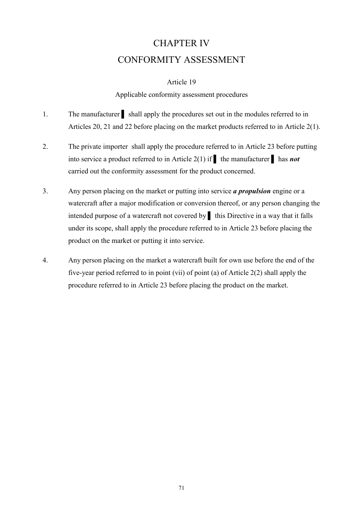# CHAPTER IV CONFORMITY ASSESSMENT

### Article 19

#### Applicable conformity assessment procedures

- 1. The manufacturer shall apply the procedures set out in the modules referred to in Articles 20, 21 and 22 before placing on the market products referred to in Article 2(1).
- 2. The private importer shall apply the procedure referred to in Article 23 before putting into service a product referred to in Article 2(1) if ▌ the manufacturer ▌ has *not*  carried out the conformity assessment for the product concerned.
- 3. Any person placing on the market or putting into service *a propulsion* engine or a watercraft after a major modification or conversion thereof, or any person changing the intended purpose of a watercraft not covered by ▌ this Directive in a way that it falls under its scope, shall apply the procedure referred to in Article 23 before placing the product on the market or putting it into service.
- 4. Any person placing on the market a watercraft built for own use before the end of the five-year period referred to in point (vii) of point (a) of Article 2(2) shall apply the procedure referred to in Article 23 before placing the product on the market.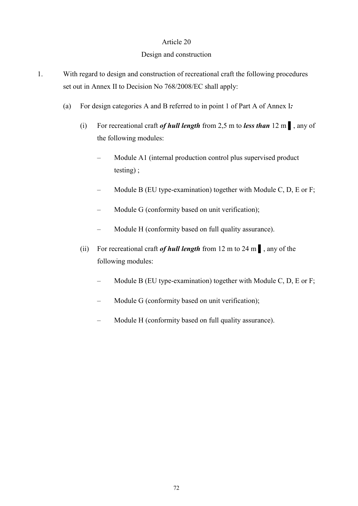### Design and construction

- 1. With regard to design and construction of recreational craft the following procedures set out in Annex II to Decision No 768/2008/EC shall apply:
	- (a) For design categories A and B referred to in point 1 of Part A of Annex I*:*
		- (i) For recreational craft *of hull length* from 2,5 m to *less than* 12 m ▌, any of the following modules:
			- Module A1 (internal production control plus supervised product testing) ;
			- Module B (EU type-examination) together with Module C, D, E or F;
			- Module G (conformity based on unit verification);
			- Module H (conformity based on full quality assurance).
		- (ii) For recreational craft *of hull length* from 12 m to 24 m ▌, any of the following modules:
			- Module B (EU type-examination) together with Module C, D, E or F;
			- Module G (conformity based on unit verification);
			- Module H (conformity based on full quality assurance).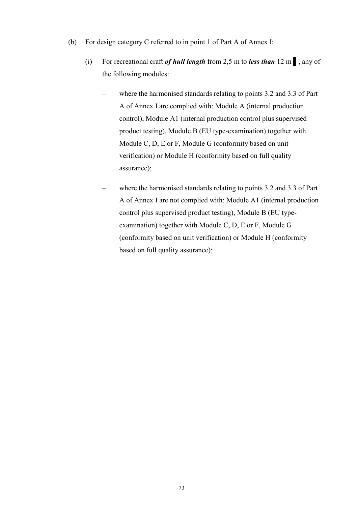- (b) For design category C referred to in point 1 of Part A of Annex I:
	- (i) For recreational craft *of hull length* from 2,5 m to *less than* 12 m ▌, any of the following modules:
		- where the harmonised standards relating to points 3.2 and 3.3 of Part A of Annex I are complied with: Module A (internal production control), Module A1 (internal production control plus supervised product testing), Module B (EU type-examination) together with Module C, D, E or F, Module G (conformity based on unit verification) or Module H (conformity based on full quality assurance);
		- where the harmonised standards relating to points 3.2 and 3.3 of Part A of Annex I are not complied with: Module A1 (internal production control plus supervised product testing), Module B (EU typeexamination) together with Module C, D, E or F, Module G (conformity based on unit verification) or Module H (conformity based on full quality assurance);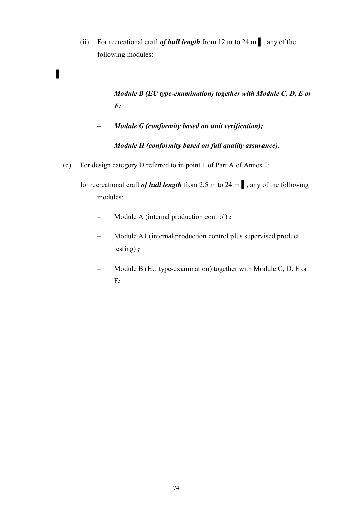- (ii) For recreational craft *of hull length* from 12 m to 24 m ▌, any of the following modules:
	- *Module B (EU type-examination) together with Module C, D, E or F;*
	- *Module G (conformity based on unit verification);*
	- *Module H (conformity based on full quality assurance).*
- (c) For design category D referred to in point 1 of Part A of Annex I:

▌

for recreational craft *of hull length* from 2,5 m to 24 m ▌, any of the following modules:

- Module A (internal production control) *;*
- Module A1 (internal production control plus supervised product testing) *;*
- Module B (EU type-examination) together with Module C, D, E or F*;*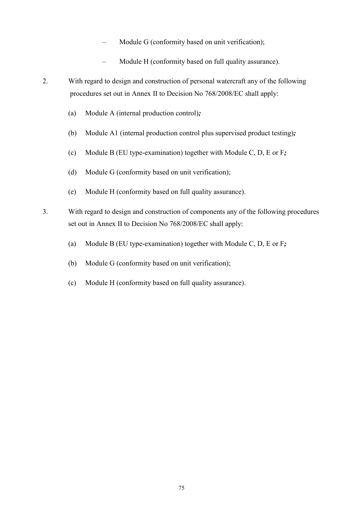- Module G (conformity based on unit verification);
- Module H (conformity based on full quality assurance).
- 2. With regard to design and construction of personal watercraft any of the following procedures set out in Annex II to Decision No 768/2008/EC shall apply:
	- (a) Module A (internal production control)*;*
	- (b) Module A1 (internal production control plus supervised product testing)*;*
	- (c) Module B (EU type-examination) together with Module C, D, E or F*;*
	- (d) Module G (conformity based on unit verification);
	- (e) Module H (conformity based on full quality assurance).
- 3. With regard to design and construction of components any of the following procedures set out in Annex II to Decision No 768/2008/EC shall apply:
	- (a) Module B (EU type-examination) together with Module C, D, E or F*;*
	- (b) Module G (conformity based on unit verification);
	- (c) Module H (conformity based on full quality assurance).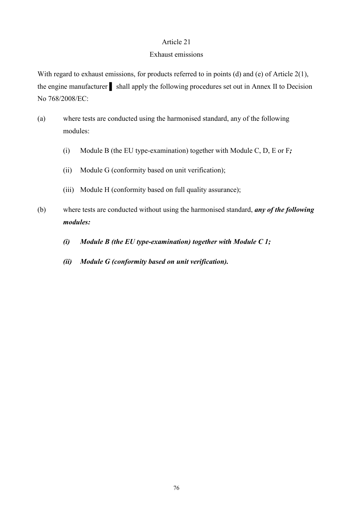#### Exhaust emissions

With regard to exhaust emissions, for products referred to in points (d) and (e) of Article 2(1), the engine manufacturer shall apply the following procedures set out in Annex II to Decision No 768/2008/EC:

- (a) where tests are conducted using the harmonised standard, any of the following modules:
	- (i) Module B (the EU type-examination) together with Module C, D, E or F*;*
	- (ii) Module G (conformity based on unit verification);
	- (iii) Module H (conformity based on full quality assurance);
- (b) where tests are conducted without using the harmonised standard, *any of the following modules:*
	- *(i) Module B (the EU type-examination) together with Module C 1;*
	- *(ii) Module G (conformity based on unit verification).*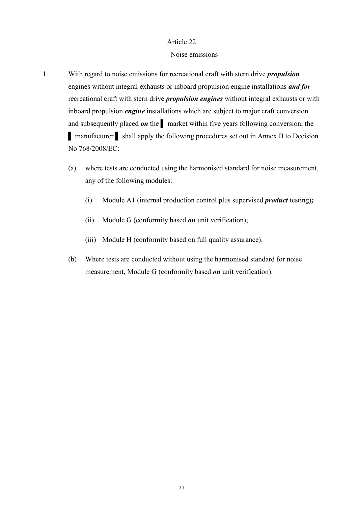#### Noise emissions

- 1. With regard to noise emissions for recreational craft with stern drive *propulsion*  engines without integral exhausts or inboard propulsion engine installations *and for*  recreational craft with stern drive *propulsion engines* without integral exhausts or with inboard propulsion *engine* installations which are subject to major craft conversion and subsequently placed *on* the <u>narket</u> within five years following conversion, the ▌ manufacturer ▌ shall apply the following procedures set out in Annex II to Decision No 768/2008/EC:
	- (a) where tests are conducted using the harmonised standard for noise measurement, any of the following modules:
		- (i) Module A1 (internal production control plus supervised *product* testing)*;*
		- (ii) Module G (conformity based *on* unit verification);
		- (iii) Module H (conformity based on full quality assurance).
	- (b) Where tests are conducted without using the harmonised standard for noise measurement, Module G (conformity based *on* unit verification).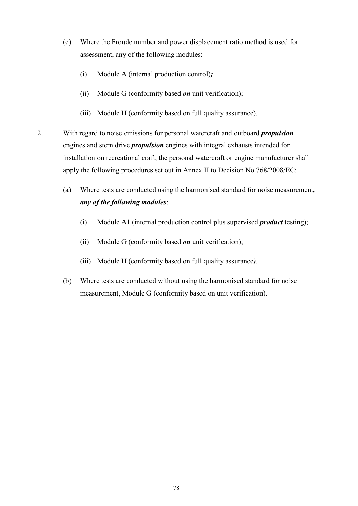- (c) Where the Froude number and power displacement ratio method is used for assessment, any of the following modules:
	- (i) Module A (internal production control)*;*
	- (ii) Module G (conformity based *on* unit verification);
	- (iii) Module H (conformity based on full quality assurance).
- 2. With regard to noise emissions for personal watercraft and outboard *propulsion*  engines and stern drive *propulsion* engines with integral exhausts intended for installation on recreational craft, the personal watercraft or engine manufacturer shall apply the following procedures set out in Annex II to Decision No 768/2008/EC:
	- (a) Where tests are conducted using the harmonised standard for noise measurement*, any of the following modules*:
		- (i) Module A1 (internal production control plus supervised *product* testing);
		- (ii) Module G (conformity based *on* unit verification);
		- (iii) Module H (conformity based on full quality assurance*)*.
	- (b) Where tests are conducted without using the harmonised standard for noise measurement, Module G (conformity based on unit verification).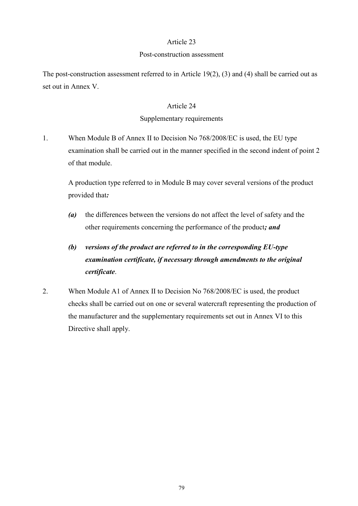#### Post-construction assessment

The post-construction assessment referred to in Article 19(2), (3) and (4) shall be carried out as set out in Annex V.

### Article 24

### Supplementary requirements

1. When Module B of Annex II to Decision No 768/2008/EC is used, the EU type examination shall be carried out in the manner specified in the second indent of point 2 of that module.

A production type referred to in Module B may cover several versions of the product provided that*:* 

*(a)* the differences between the versions do not affect the level of safety and the other requirements concerning the performance of the product*; and*

# *(b) versions of the product are referred to in the corresponding EU-type examination certificate, if necessary through amendments to the original certificate*.

2. When Module A1 of Annex II to Decision No 768/2008/EC is used, the product checks shall be carried out on one or several watercraft representing the production of the manufacturer and the supplementary requirements set out in Annex VI to this Directive shall apply.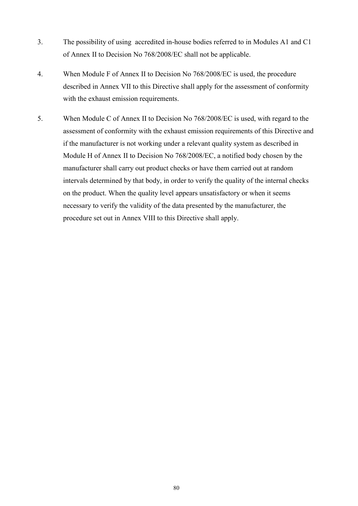- 3. The possibility of using accredited in-house bodies referred to in Modules A1 and C1 of Annex II to Decision No 768/2008/EC shall not be applicable.
- 4. When Module F of Annex II to Decision No 768/2008/EC is used, the procedure described in Annex VII to this Directive shall apply for the assessment of conformity with the exhaust emission requirements.
- 5. When Module C of Annex II to Decision No 768/2008/EC is used, with regard to the assessment of conformity with the exhaust emission requirements of this Directive and if the manufacturer is not working under a relevant quality system as described in Module H of Annex II to Decision No 768/2008/EC, a notified body chosen by the manufacturer shall carry out product checks or have them carried out at random intervals determined by that body, in order to verify the quality of the internal checks on the product. When the quality level appears unsatisfactory or when it seems necessary to verify the validity of the data presented by the manufacturer, the procedure set out in Annex VIII to this Directive shall apply.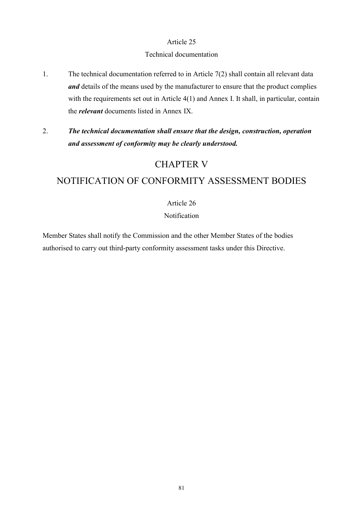#### Technical documentation

- 1. The technical documentation referred to in Article 7(2) shall contain all relevant data *and* details of the means used by the manufacturer to ensure that the product complies with the requirements set out in Article 4(1) and Annex I. It shall, in particular, contain the *relevant* documents listed in Annex IX.
- 2. *The technical documentation shall ensure that the design, construction, operation and assessment of conformity may be clearly understood.*

# CHAPTER V

# NOTIFICATION OF CONFORMITY ASSESSMENT BODIES

# Article 26

# Notification

Member States shall notify the Commission and the other Member States of the bodies authorised to carry out third-party conformity assessment tasks under this Directive.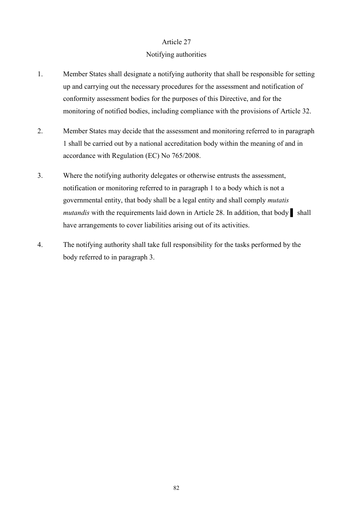#### Notifying authorities

- 1. Member States shall designate a notifying authority that shall be responsible for setting up and carrying out the necessary procedures for the assessment and notification of conformity assessment bodies for the purposes of this Directive, and for the monitoring of notified bodies, including compliance with the provisions of Article 32.
- 2. Member States may decide that the assessment and monitoring referred to in paragraph 1 shall be carried out by a national accreditation body within the meaning of and in accordance with Regulation (EC) No 765/2008.
- 3. Where the notifying authority delegates or otherwise entrusts the assessment, notification or monitoring referred to in paragraph 1 to a body which is not a governmental entity, that body shall be a legal entity and shall comply *mutatis mutandis* with the requirements laid down in Article 28. In addition, that body ▌ shall have arrangements to cover liabilities arising out of its activities.
- 4. The notifying authority shall take full responsibility for the tasks performed by the body referred to in paragraph 3.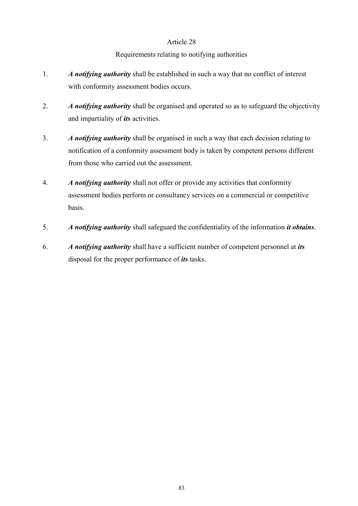# Requirements relating to notifying authorities

- 1. *A notifying authority* shall be established in such a way that no conflict of interest with conformity assessment bodies occurs.
- 2. *A notifying authority* shall be organised and operated so as to safeguard the objectivity and impartiality of *its* activities.
- 3. *A notifying authority* shall be organised in such a way that each decision relating to notification of a conformity assessment body is taken by competent persons different from those who carried out the assessment.
- 4. *A notifying authority* shall not offer or provide any activities that conformity assessment bodies perform or consultancy services on a commercial or competitive basis.
- 5. *A notifying authority* shall safeguard the confidentiality of the information *it obtains*.
- 6. *A notifying authority* shall have a sufficient number of competent personnel at *its*  disposal for the proper performance of *its* tasks.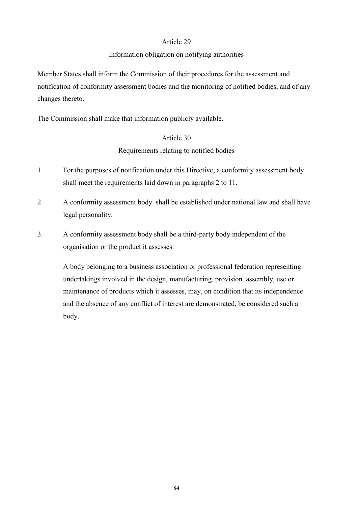### Information obligation on notifying authorities

Member States shall inform the Commission of their procedures for the assessment and notification of conformity assessment bodies and the monitoring of notified bodies, and of any changes thereto.

The Commission shall make that information publicly available.

# Article 30 Requirements relating to notified bodies

- 1. For the purposes of notification under this Directive, a conformity assessment body shall meet the requirements laid down in paragraphs 2 to 11.
- 2. A conformity assessment body shall be established under national law and shall have legal personality.
- 3. A conformity assessment body shall be a third-party body independent of the organisation or the product it assesses.

A body belonging to a business association or professional federation representing undertakings involved in the design, manufacturing, provision, assembly, use or maintenance of products which it assesses, may, on condition that its independence and the absence of any conflict of interest are demonstrated, be considered such a body.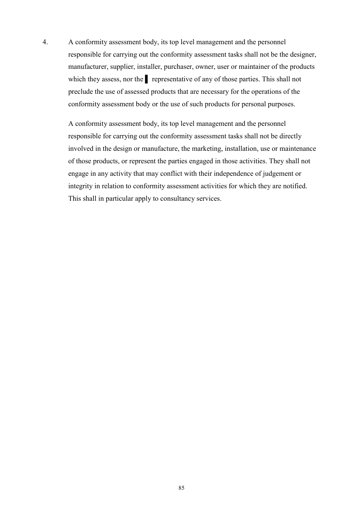4. A conformity assessment body, its top level management and the personnel responsible for carrying out the conformity assessment tasks shall not be the designer, manufacturer, supplier, installer, purchaser, owner, user or maintainer of the products which they assess, nor the representative of any of those parties. This shall not preclude the use of assessed products that are necessary for the operations of the conformity assessment body or the use of such products for personal purposes.

A conformity assessment body, its top level management and the personnel responsible for carrying out the conformity assessment tasks shall not be directly involved in the design or manufacture, the marketing, installation, use or maintenance of those products, or represent the parties engaged in those activities. They shall not engage in any activity that may conflict with their independence of judgement or integrity in relation to conformity assessment activities for which they are notified. This shall in particular apply to consultancy services.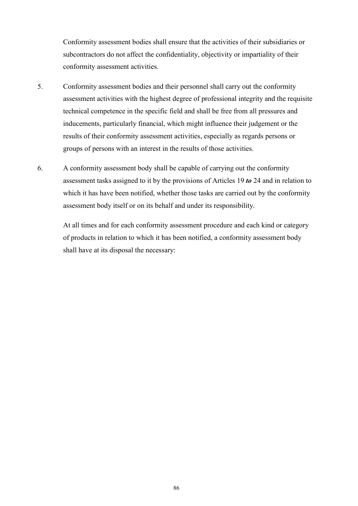Conformity assessment bodies shall ensure that the activities of their subsidiaries or subcontractors do not affect the confidentiality, objectivity or impartiality of their conformity assessment activities.

- 5. Conformity assessment bodies and their personnel shall carry out the conformity assessment activities with the highest degree of professional integrity and the requisite technical competence in the specific field and shall be free from all pressures and inducements, particularly financial, which might influence their judgement or the results of their conformity assessment activities, especially as regards persons or groups of persons with an interest in the results of those activities.
- 6. A conformity assessment body shall be capable of carrying out the conformity assessment tasks assigned to it by the provisions of Articles 19 *to* 24 and in relation to which it has have been notified, whether those tasks are carried out by the conformity assessment body itself or on its behalf and under its responsibility.

At all times and for each conformity assessment procedure and each kind or category of products in relation to which it has been notified, a conformity assessment body shall have at its disposal the necessary: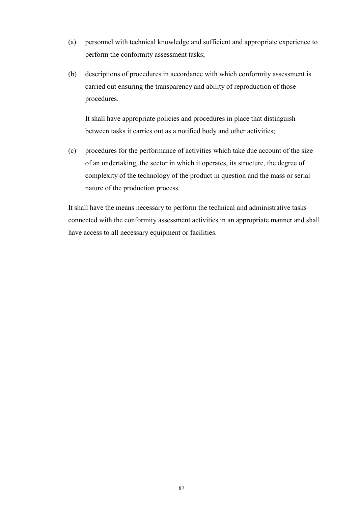- (a) personnel with technical knowledge and sufficient and appropriate experience to perform the conformity assessment tasks;
- (b) descriptions of procedures in accordance with which conformity assessment is carried out ensuring the transparency and ability of reproduction of those procedures.

It shall have appropriate policies and procedures in place that distinguish between tasks it carries out as a notified body and other activities;

(c) procedures for the performance of activities which take due account of the size of an undertaking, the sector in which it operates, its structure, the degree of complexity of the technology of the product in question and the mass or serial nature of the production process.

It shall have the means necessary to perform the technical and administrative tasks connected with the conformity assessment activities in an appropriate manner and shall have access to all necessary equipment or facilities.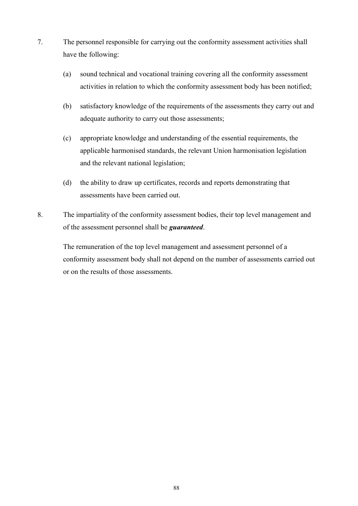- 7. The personnel responsible for carrying out the conformity assessment activities shall have the following:
	- (a) sound technical and vocational training covering all the conformity assessment activities in relation to which the conformity assessment body has been notified;
	- (b) satisfactory knowledge of the requirements of the assessments they carry out and adequate authority to carry out those assessments;
	- (c) appropriate knowledge and understanding of the essential requirements, the applicable harmonised standards, the relevant Union harmonisation legislation and the relevant national legislation;
	- (d) the ability to draw up certificates, records and reports demonstrating that assessments have been carried out.
- 8. The impartiality of the conformity assessment bodies, their top level management and of the assessment personnel shall be *guaranteed*.

The remuneration of the top level management and assessment personnel of a conformity assessment body shall not depend on the number of assessments carried out or on the results of those assessments.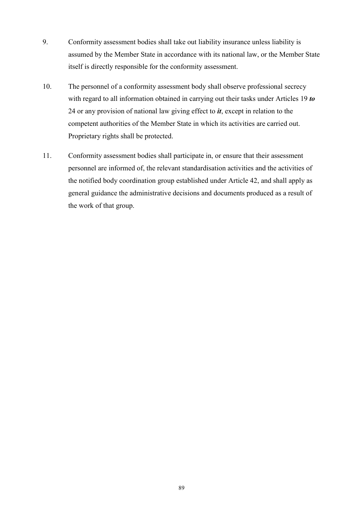- 9. Conformity assessment bodies shall take out liability insurance unless liability is assumed by the Member State in accordance with its national law, or the Member State itself is directly responsible for the conformity assessment.
- 10. The personnel of a conformity assessment body shall observe professional secrecy with regard to all information obtained in carrying out their tasks under Articles 19 *to*  24 or any provision of national law giving effect to *it*, except in relation to the competent authorities of the Member State in which its activities are carried out. Proprietary rights shall be protected.
- 11. Conformity assessment bodies shall participate in, or ensure that their assessment personnel are informed of, the relevant standardisation activities and the activities of the notified body coordination group established under Article 42, and shall apply as general guidance the administrative decisions and documents produced as a result of the work of that group.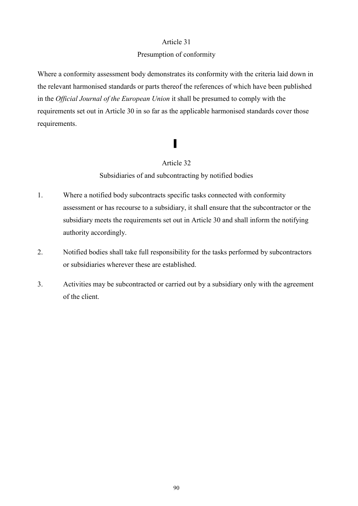#### Presumption of conformity

Where a conformity assessment body demonstrates its conformity with the criteria laid down in the relevant harmonised standards or parts thereof the references of which have been published in the *Official Journal of the European Union* it shall be presumed to comply with the requirements set out in Article 30 in so far as the applicable harmonised standards cover those requirements.

# ▌

# Article 32

Subsidiaries of and subcontracting by notified bodies

- 1. Where a notified body subcontracts specific tasks connected with conformity assessment or has recourse to a subsidiary, it shall ensure that the subcontractor or the subsidiary meets the requirements set out in Article 30 and shall inform the notifying authority accordingly.
- 2. Notified bodies shall take full responsibility for the tasks performed by subcontractors or subsidiaries wherever these are established.
- 3. Activities may be subcontracted or carried out by a subsidiary only with the agreement of the client.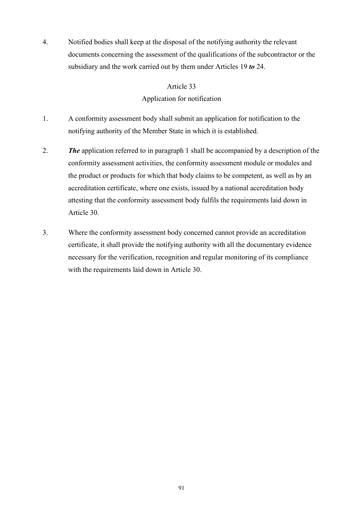4. Notified bodies shall keep at the disposal of the notifying authority the relevant documents concerning the assessment of the qualifications of the subcontractor or the subsidiary and the work carried out by them under Articles 19 *to* 24.

### Article 33

# Application for notification

- 1. A conformity assessment body shall submit an application for notification to the notifying authority of the Member State in which it is established.
- 2. *The* application referred to in paragraph 1 shall be accompanied by a description of the conformity assessment activities, the conformity assessment module or modules and the product or products for which that body claims to be competent, as well as by an accreditation certificate, where one exists, issued by a national accreditation body attesting that the conformity assessment body fulfils the requirements laid down in Article 30.
- 3. Where the conformity assessment body concerned cannot provide an accreditation certificate, it shall provide the notifying authority with all the documentary evidence necessary for the verification, recognition and regular monitoring of its compliance with the requirements laid down in Article 30.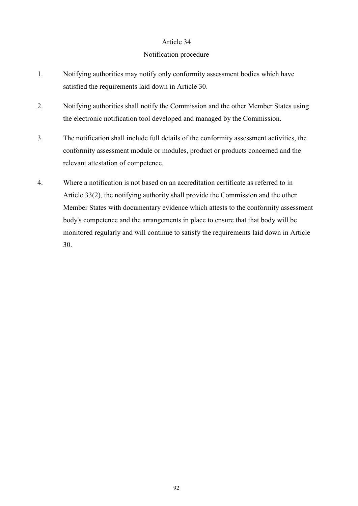#### Notification procedure

- 1. Notifying authorities may notify only conformity assessment bodies which have satisfied the requirements laid down in Article 30.
- 2. Notifying authorities shall notify the Commission and the other Member States using the electronic notification tool developed and managed by the Commission.
- 3. The notification shall include full details of the conformity assessment activities, the conformity assessment module or modules, product or products concerned and the relevant attestation of competence.
- 4. Where a notification is not based on an accreditation certificate as referred to in Article 33(2), the notifying authority shall provide the Commission and the other Member States with documentary evidence which attests to the conformity assessment body's competence and the arrangements in place to ensure that that body will be monitored regularly and will continue to satisfy the requirements laid down in Article 30.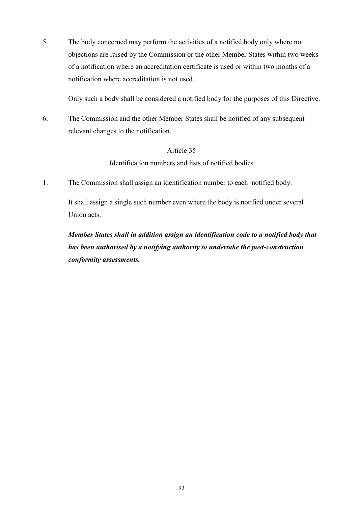5. The body concerned may perform the activities of a notified body only where no objections are raised by the Commission or the other Member States within two weeks of a notification where an accreditation certificate is used or within two months of a notification where accreditation is not used.

Only such a body shall be considered a notified body for the purposes of this Directive.

6. The Commission and the other Member States shall be notified of any subsequent relevant changes to the notification.

## Article 35

Identification numbers and lists of notified bodies

1. The Commission shall assign an identification number to each notified body.

It shall assign a single such number even where the body is notified under several Union acts.

*Member States shall in addition assign an identification code to a notified body that has been authorised by a notifying authority to undertake the post-construction conformity assessments.*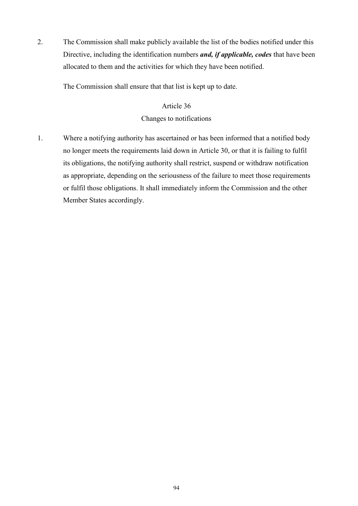2. The Commission shall make publicly available the list of the bodies notified under this Directive, including the identification numbers *and, if applicable, codes* that have been allocated to them and the activities for which they have been notified.

The Commission shall ensure that that list is kept up to date.

# Article 36 Changes to notifications

1. Where a notifying authority has ascertained or has been informed that a notified body no longer meets the requirements laid down in Article 30, or that it is failing to fulfil its obligations, the notifying authority shall restrict, suspend or withdraw notification as appropriate, depending on the seriousness of the failure to meet those requirements or fulfil those obligations. It shall immediately inform the Commission and the other Member States accordingly.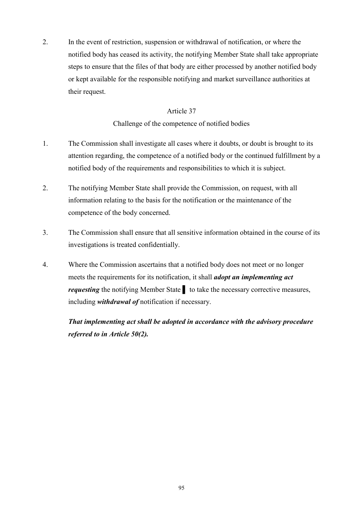2. In the event of restriction, suspension or withdrawal of notification, or where the notified body has ceased its activity, the notifying Member State shall take appropriate steps to ensure that the files of that body are either processed by another notified body or kept available for the responsible notifying and market surveillance authorities at their request.

# Article 37

Challenge of the competence of notified bodies

- 1. The Commission shall investigate all cases where it doubts, or doubt is brought to its attention regarding, the competence of a notified body or the continued fulfillment by a notified body of the requirements and responsibilities to which it is subject.
- 2. The notifying Member State shall provide the Commission, on request, with all information relating to the basis for the notification or the maintenance of the competence of the body concerned.
- 3. The Commission shall ensure that all sensitive information obtained in the course of its investigations is treated confidentially.
- 4. Where the Commission ascertains that a notified body does not meet or no longer meets the requirements for its notification, it shall *adopt an implementing act requesting* the notifying Member State Ⅰ to take the necessary corrective measures, including *withdrawal of* notification if necessary.

*That implementing act shall be adopted in accordance with the advisory procedure referred to in Article 50(2).*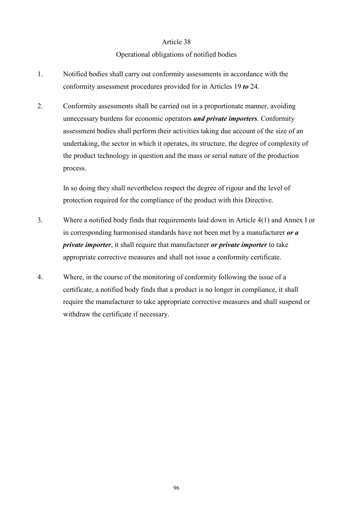#### Operational obligations of notified bodies

- 1. Notified bodies shall carry out conformity assessments in accordance with the conformity assessment procedures provided for in Articles 19 *to* 24.
- 2. Conformity assessments shall be carried out in a proportionate manner, avoiding unnecessary burdens for economic operators *and private importers*. Conformity assessment bodies shall perform their activities taking due account of the size of an undertaking, the sector in which it operates, its structure, the degree of complexity of the product technology in question and the mass or serial nature of the production process.

In so doing they shall nevertheless respect the degree of rigour and the level of protection required for the compliance of the product with this Directive.

- 3. Where a notified body finds that requirements laid down in Article 4(1) and Annex I or in corresponding harmonised standards have not been met by a manufacturer *or a private importer*, it shall require that manufacturer *or private importer* to take appropriate corrective measures and shall not issue a conformity certificate.
- 4. Where, in the course of the monitoring of conformity following the issue of a certificate, a notified body finds that a product is no longer in compliance, it shall require the manufacturer to take appropriate corrective measures and shall suspend or withdraw the certificate if necessary.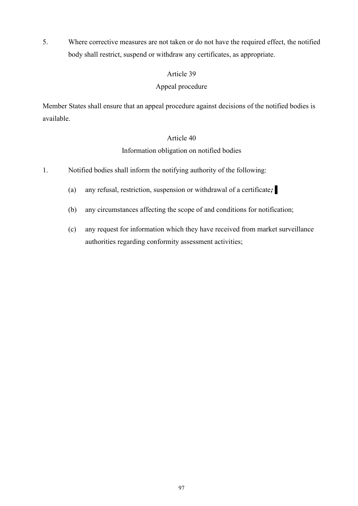5. Where corrective measures are not taken or do not have the required effect, the notified body shall restrict, suspend or withdraw any certificates, as appropriate.

# Article 39

# Appeal procedure

Member States shall ensure that an appeal procedure against decisions of the notified bodies is available.

# Article 40

# Information obligation on notified bodies

- 1. Notified bodies shall inform the notifying authority of the following:
	- (a) any refusal, restriction, suspension or withdrawal of a certificate*;* ▌
	- (b) any circumstances affecting the scope of and conditions for notification;
	- (c) any request for information which they have received from market surveillance authorities regarding conformity assessment activities;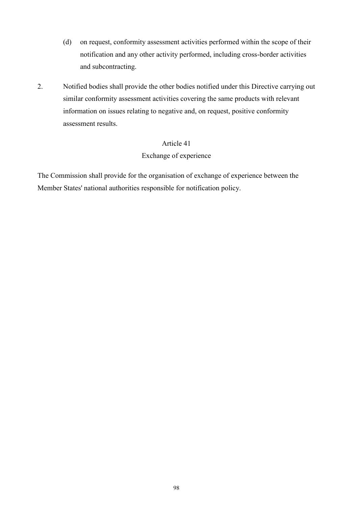- (d) on request, conformity assessment activities performed within the scope of their notification and any other activity performed, including cross-border activities and subcontracting.
- 2. Notified bodies shall provide the other bodies notified under this Directive carrying out similar conformity assessment activities covering the same products with relevant information on issues relating to negative and, on request, positive conformity assessment results.

## Exchange of experience

The Commission shall provide for the organisation of exchange of experience between the Member States' national authorities responsible for notification policy.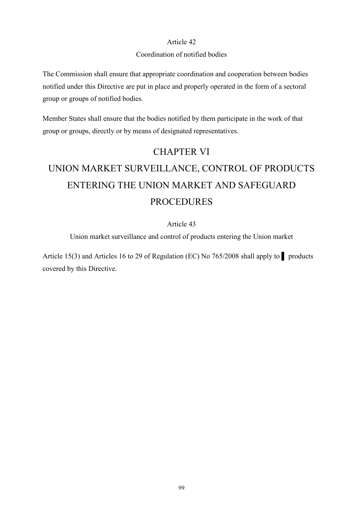# Coordination of notified bodies

The Commission shall ensure that appropriate coordination and cooperation between bodies notified under this Directive are put in place and properly operated in the form of a sectoral group or groups of notified bodies.

Member States shall ensure that the bodies notified by them participate in the work of that group or groups, directly or by means of designated representatives.

# CHAPTER VI

# UNION MARKET SURVEILLANCE, CONTROL OF PRODUCTS ENTERING THE UNION MARKET AND SAFEGUARD PROCEDURES

# Article 43

Union market surveillance and control of products entering the Union market

Article 15(3) and Articles 16 to 29 of Regulation (EC) No 765/2008 shall apply to ▌ products covered by this Directive.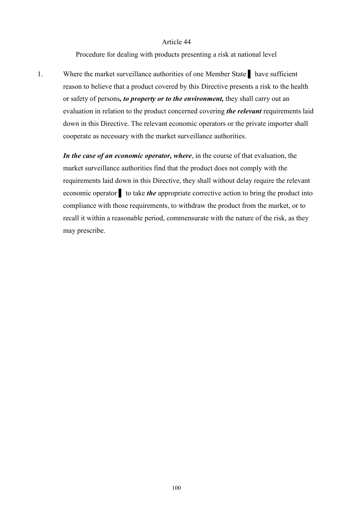Procedure for dealing with products presenting a risk at national level

1. Where the market surveillance authorities of one Member State ▌ have sufficient reason to believe that a product covered by this Directive presents a risk to the health or safety of persons*, to property or to the environment,* they shall carry out an evaluation in relation to the product concerned covering *the relevant* requirements laid down in this Directive. The relevant economic operators or the private importer shall cooperate as necessary with the market surveillance authorities.

*In the case of an economic operator, where*, in the course of that evaluation, the market surveillance authorities find that the product does not comply with the requirements laid down in this Directive, they shall without delay require the relevant economic operator **t** to take *the* appropriate corrective action to bring the product into compliance with those requirements, to withdraw the product from the market, or to recall it within a reasonable period, commensurate with the nature of the risk, as they may prescribe.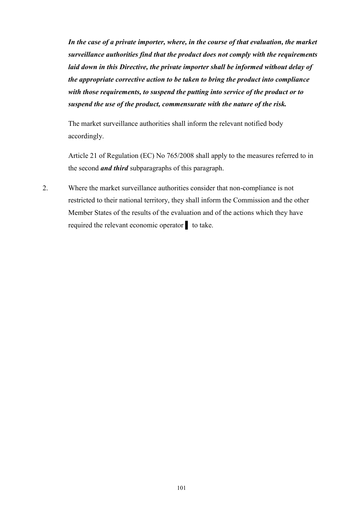*In the case of a private importer, where, in the course of that evaluation, the market surveillance authorities find that the product does not comply with the requirements laid down in this Directive, the private importer shall be informed without delay of the appropriate corrective action to be taken to bring the product into compliance with those requirements, to suspend the putting into service of the product or to suspend the use of the product, commensurate with the nature of the risk.* 

The market surveillance authorities shall inform the relevant notified body accordingly.

Article 21 of Regulation (EC) No 765/2008 shall apply to the measures referred to in the second *and third* subparagraphs of this paragraph.

2. Where the market surveillance authorities consider that non-compliance is not restricted to their national territory, they shall inform the Commission and the other Member States of the results of the evaluation and of the actions which they have required the relevant economic operator ▌ to take.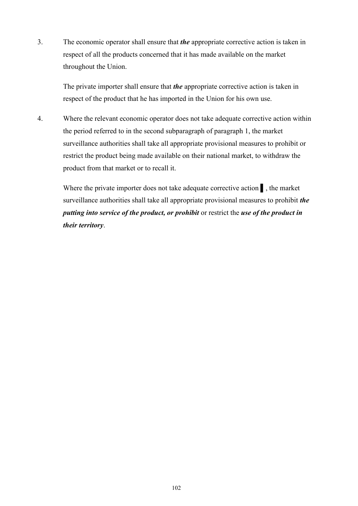3. The economic operator shall ensure that *the* appropriate corrective action is taken in respect of all the products concerned that it has made available on the market throughout the Union.

The private importer shall ensure that *the* appropriate corrective action is taken in respect of the product that he has imported in the Union for his own use.

4. Where the relevant economic operator does not take adequate corrective action within the period referred to in the second subparagraph of paragraph 1, the market surveillance authorities shall take all appropriate provisional measures to prohibit or restrict the product being made available on their national market, to withdraw the product from that market or to recall it.

Where the private importer does not take adequate corrective action , the market surveillance authorities shall take all appropriate provisional measures to prohibit *the putting into service of the product, or prohibit* or restrict the *use of the product in their territory*.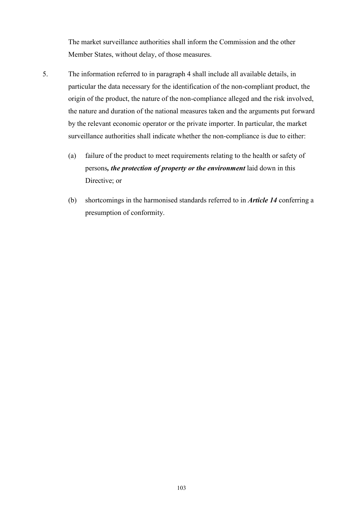The market surveillance authorities shall inform the Commission and the other Member States, without delay, of those measures.

- 5. The information referred to in paragraph 4 shall include all available details, in particular the data necessary for the identification of the non-compliant product, the origin of the product, the nature of the non-compliance alleged and the risk involved, the nature and duration of the national measures taken and the arguments put forward by the relevant economic operator or the private importer. In particular, the market surveillance authorities shall indicate whether the non-compliance is due to either:
	- (a) failure of the product to meet requirements relating to the health or safety of persons*, the protection of property or the environment* laid down in this Directive; or
	- (b) shortcomings in the harmonised standards referred to in *Article 14* conferring a presumption of conformity.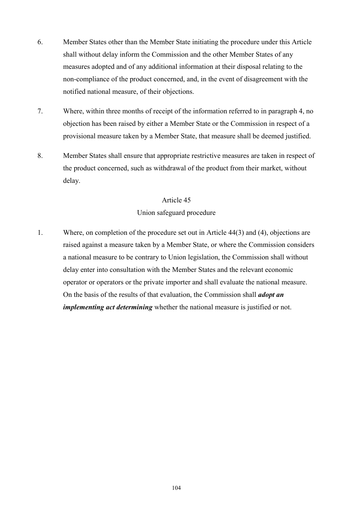- 6. Member States other than the Member State initiating the procedure under this Article shall without delay inform the Commission and the other Member States of any measures adopted and of any additional information at their disposal relating to the non-compliance of the product concerned, and, in the event of disagreement with the notified national measure, of their objections.
- 7. Where, within three months of receipt of the information referred to in paragraph 4, no objection has been raised by either a Member State or the Commission in respect of a provisional measure taken by a Member State, that measure shall be deemed justified.
- 8. Member States shall ensure that appropriate restrictive measures are taken in respect of the product concerned, such as withdrawal of the product from their market, without delay.

#### Union safeguard procedure

1. Where, on completion of the procedure set out in Article 44(3) and (4), objections are raised against a measure taken by a Member State, or where the Commission considers a national measure to be contrary to Union legislation, the Commission shall without delay enter into consultation with the Member States and the relevant economic operator or operators or the private importer and shall evaluate the national measure. On the basis of the results of that evaluation, the Commission shall *adopt an implementing act determining* whether the national measure is justified or not.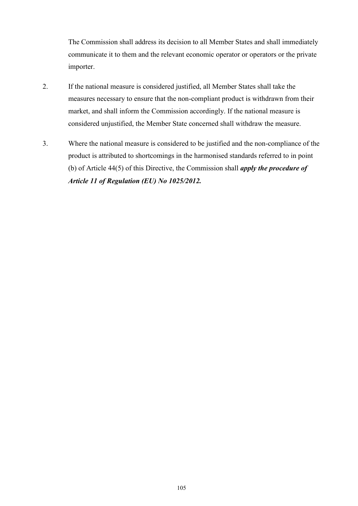The Commission shall address its decision to all Member States and shall immediately communicate it to them and the relevant economic operator or operators or the private importer.

- 2. If the national measure is considered justified, all Member States shall take the measures necessary to ensure that the non-compliant product is withdrawn from their market, and shall inform the Commission accordingly. If the national measure is considered unjustified, the Member State concerned shall withdraw the measure.
- 3. Where the national measure is considered to be justified and the non-compliance of the product is attributed to shortcomings in the harmonised standards referred to in point (b) of Article 44(5) of this Directive, the Commission shall *apply the procedure of Article 11 of Regulation (EU) No 1025/2012.*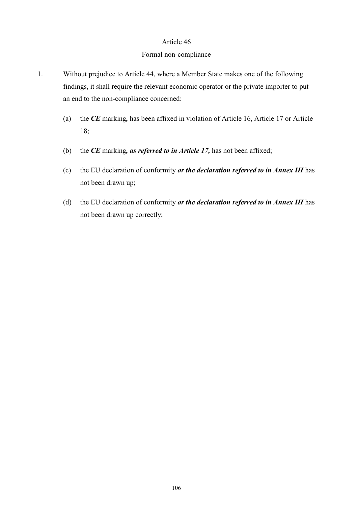#### Formal non-compliance

- 1. Without prejudice to Article 44, where a Member State makes one of the following findings, it shall require the relevant economic operator or the private importer to put an end to the non-compliance concerned:
	- (a) the *CE* marking*,* has been affixed in violation of Article 16, Article 17 or Article 18;
	- (b) the *CE* marking*, as referred to in Article 17,* has not been affixed;
	- (c) the EU declaration of conformity *or the declaration referred to in Annex III* has not been drawn up;
	- (d) the EU declaration of conformity *or the declaration referred to in Annex III* has not been drawn up correctly;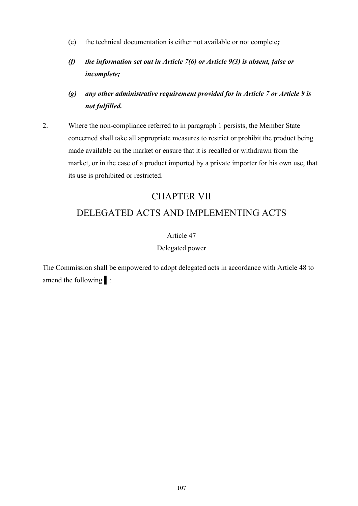- (e) the technical documentation is either not available or not complete*;*
- *(f) the information set out in Article 7(6) or Article 9(3) is absent, false or incomplete;*
- *(g) any other administrative requirement provided for in Article 7 or Article 9 is not fulfilled.*
- 2. Where the non-compliance referred to in paragraph 1 persists, the Member State concerned shall take all appropriate measures to restrict or prohibit the product being made available on the market or ensure that it is recalled or withdrawn from the market, or in the case of a product imported by a private importer for his own use, that its use is prohibited or restricted.

# CHAPTER VII

# DELEGATED ACTS AND IMPLEMENTING ACTS

# Article 47

## Delegated power

The Commission shall be empowered to adopt delegated acts in accordance with Article 48 to amend the following ▌: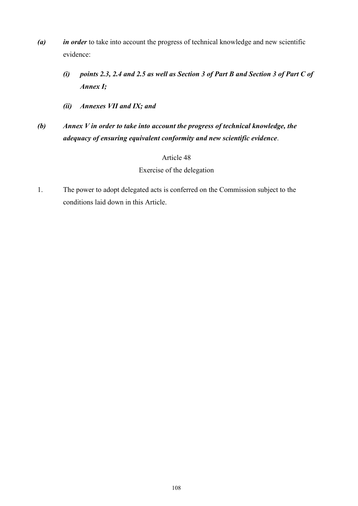- *(a) in order* to take into account the progress of technical knowledge and new scientific evidence:
	- *(i) points 2.3, 2.4 and 2.5 as well as Section 3 of Part B and Section 3 of Part C of Annex I;*
	- *(ii) Annexes VII and IX; and*
- *(b) Annex V in order to take into account the progress of technical knowledge, the adequacy of ensuring equivalent conformity and new scientific evidence*.

#### Exercise of the delegation

1. The power to adopt delegated acts is conferred on the Commission subject to the conditions laid down in this Article.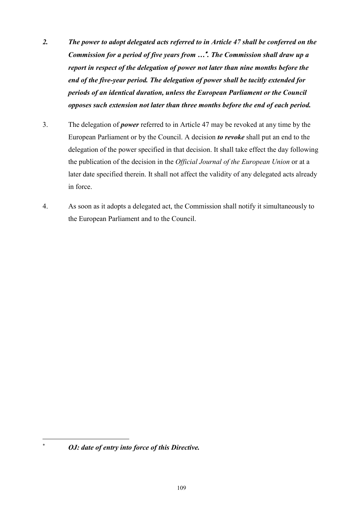- *2. The power to adopt delegated acts referred to in Article 47 shall be conferred on the Commission for a period of five years from … . The Commission shall draw up a report in respect of the delegation of power not later than nine months before the end of the five-year period. The delegation of power shall be tacitly extended for periods of an identical duration, unless the European Parliament or the Council opposes such extension not later than three months before the end of each period.*
- 3. The delegation of *power* referred to in Article 47 may be revoked at any time by the European Parliament or by the Council. A decision *to revoke* shall put an end to the delegation of the power specified in that decision. It shall take effect the day following the publication of the decision in the *Official Journal of the European Union* or at a later date specified therein. It shall not affect the validity of any delegated acts already in force.
- 4. As soon as it adopts a delegated act, the Commission shall notify it simultaneously to the European Parliament and to the Council.

 $\overline{a}$ 

*OJ: date of entry into force of this Directive.*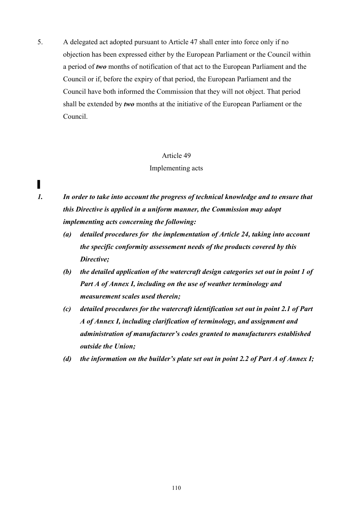5. A delegated act adopted pursuant to Article 47 shall enter into force only if no objection has been expressed either by the European Parliament or the Council within a period of *two* months of notification of that act to the European Parliament and the Council or if, before the expiry of that period, the European Parliament and the Council have both informed the Commission that they will not object. That period shall be extended by *two* months at the initiative of the European Parliament or the Council.

#### Article 49

#### Implementing acts

▌

*1. In order to take into account the progress of technical knowledge and to ensure that this Directive is applied in a uniform manner, the Commission may adopt implementing acts concerning the following:* 

- *(a) detailed procedures for the implementation of Article 24, taking into account the specific conformity assessement needs of the products covered by this Directive;*
- *(b) the detailed application of the watercraft design categories set out in point 1 of Part A of Annex I, including on the use of weather terminology and measurement scales used therein;*
- *(c) detailed procedures for the watercraft identification set out in point 2.1 of Part A of Annex I, including clarification of terminology, and assignment and administration of manufacturer's codes granted to manufacturers established outside the Union;*
- *(d) the information on the builder's plate set out in point 2.2 of Part A of Annex I;*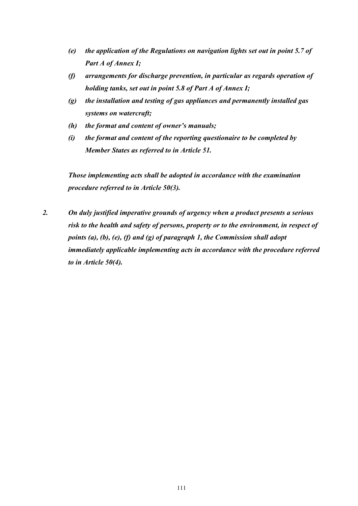- *(e) the application of the Regulations on navigation lights set out in point 5.7 of Part A of Annex I;*
- *(f) arrangements for discharge prevention, in particular as regards operation of holding tanks, set out in point 5.8 of Part A of Annex I;*
- *(g) the installation and testing of gas appliances and permanently installed gas systems on watercraft;*
- *(h) the format and content of owner's manuals;*
- *(i) the format and content of the reporting questionaire to be completed by Member States as referred to in Article 51.*

*Those implementing acts shall be adopted in accordance with the examination procedure referred to in Article 50(3).*

*2. On duly justified imperative grounds of urgency when a product presents a serious risk to the health and safety of persons, property or to the environment, in respect of points (a), (b), (e), (f) and (g) of paragraph 1, the Commission shall adopt immediately applicable implementing acts in accordance with the procedure referred to in Article 50(4).*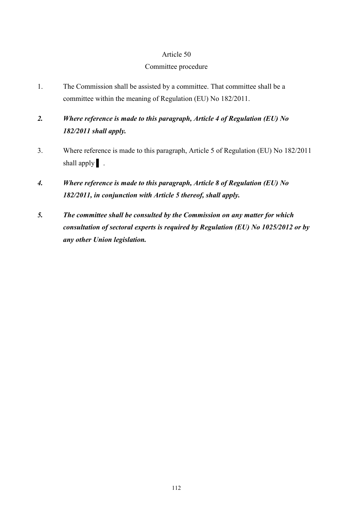#### Committee procedure

- 1. The Commission shall be assisted by a committee. That committee shall be a committee within the meaning of Regulation (EU) No 182/2011.
- *2. Where reference is made to this paragraph, Article 4 of Regulation (EU) No 182/2011 shall apply.*
- 3. Where reference is made to this paragraph, Article 5 of Regulation (EU) No 182/2011 shall apply  $\vert$ .
- *4. Where reference is made to this paragraph, Article 8 of Regulation (EU) No 182/2011, in conjunction with Article 5 thereof, shall apply.*
- *5. The committee shall be consulted by the Commission on any matter for which consultation of sectoral experts is required by Regulation (EU) No 1025/2012 or by any other Union legislation.*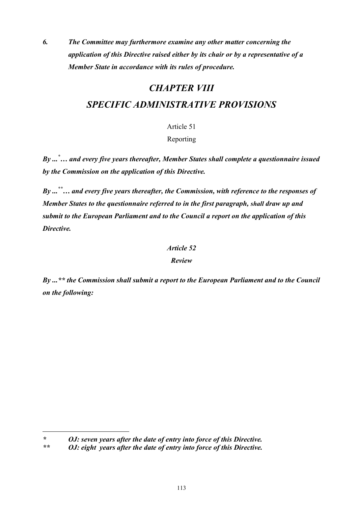*6. The Committee may furthermore examine any other matter concerning the application of this Directive raised either by its chair or by a representative of a Member State in accordance with its rules of procedure.* 

# *CHAPTER VIII SPECIFIC ADMINISTRATIVE PROVISIONS*

Article 51

Reporting

*By ...\*… and every five years thereafter, Member States shall complete a questionnaire issued by the Commission on the application of this Directive.* 

*By ...\*\*… and every five years thereafter, the Commission, with reference to the responses of Member States to the questionnaire referred to in the first paragraph, shall draw up and submit to the European Parliament and to the Council a report on the application of this Directive.*

# *Article 52*

# *Review*

*By ...\*\* the Commission shall submit a report to the European Parliament and to the Council on the following:* 

*\* OJ: seven years after the date of entry into force of this Directive.*

 $\overline{a}$ 

*\*\* OJ: eight years after the date of entry into force of this Directive.*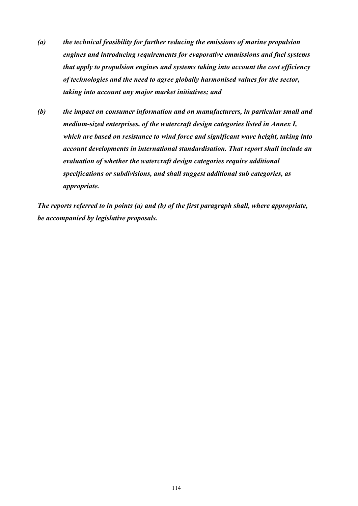- *(a) the technical feasibility for further reducing the emissions of marine propulsion engines and introducing requirements for evaporative emmissions and fuel systems that apply to propulsion engines and systems taking into account the cost efficiency of technologies and the need to agree globally harmonised values for the sector, taking into account any major market initiatives; and*
- *(b) the impact on consumer information and on manufacturers, in particular small and medium-sized enterprises, of the watercraft design categories listed in Annex I, which are based on resistance to wind force and significant wave height, taking into account developments in international standardisation. That report shall include an evaluation of whether the watercraft design categories require additional specifications or subdivisions, and shall suggest additional sub categories, as appropriate.*

*The reports referred to in points (a) and (b) of the first paragraph shall, where appropriate, be accompanied by legislative proposals.*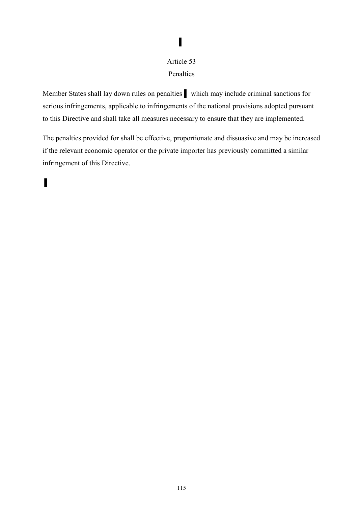# Article 53 Penalties

▌

Member States shall lay down rules on penalties which may include criminal sanctions for serious infringements, applicable to infringements of the national provisions adopted pursuant to this Directive and shall take all measures necessary to ensure that they are implemented.

The penalties provided for shall be effective, proportionate and dissuasive and may be increased if the relevant economic operator or the private importer has previously committed a similar infringement of this Directive.

▌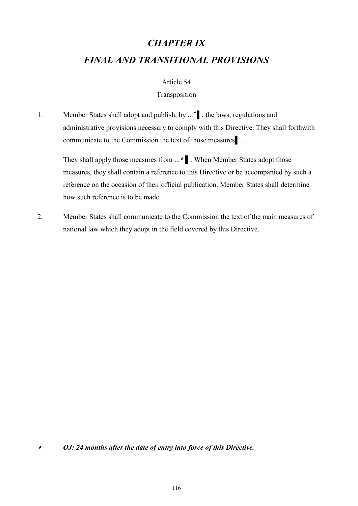# *CHAPTER IX FINAL AND TRANSITIONAL PROVISIONS*

#### Article 54

#### Transposition

1. Member States shall adopt and publish, by ... <sup>•</sup> the laws, regulations and administrative provisions necessary to comply with this Directive. They shall forthwith communicate to the Commission the text of those measures .

They shall apply those measures from ...*\** ▌. When Member States adopt those measures, they shall contain a reference to this Directive or be accompanied by such a reference on the occasion of their official publication. Member States shall determine how such reference is to be made.

2. Member States shall communicate to the Commission the text of the main measures of national law which they adopt in the field covered by this Directive.

 $\overline{a}$ 

*OJ: 24 months after the date of entry into force of this Directive.*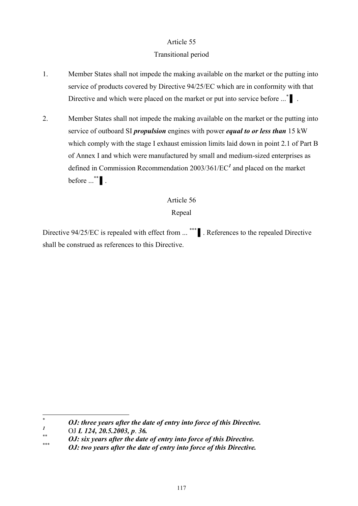## Transitional period

- 1. Member States shall not impede the making available on the market or the putting into service of products covered by Directive 94/25/EC which are in conformity with that Directive and which were placed on the market or put into service before ...\*
- 2. Member States shall not impede the making available on the market or the putting into service of outboard SI *propulsion* engines with power *equal to or less than* 15 kW which comply with the stage I exhaust emission limits laid down in point 2.1 of Part B of Annex I and which were manufactured by small and medium-sized enterprises as defined in Commission Recommendation 2003/361/EC*<sup>1</sup>* and placed on the market before  $\ldots$ <sup>\*\*</sup> | .

# Article 56

Repeal

Directive 94/25/EC is repealed with effect from ... \*\*\* ▌. References to the repealed Directive shall be construed as references to this Directive.

 $\ast$ \* *OJ: three years after the date of entry into force of this Directive.*

*<sup>1</sup>* OJ *L 124, 20.5.2003, p*. *36.*

<sup>\*\*</sup> *OJ: six years after the date of entry into force of this Directive.*

<sup>\*\*\*</sup> *OJ: two years after the date of entry into force of this Directive.*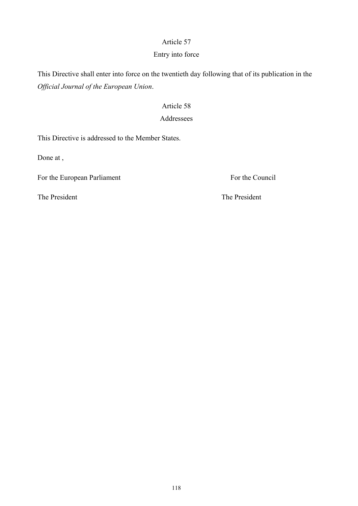# Entry into force

This Directive shall enter into force on the twentieth day following that of its publication in the *Official Journal of the European Union*.

# Article 58

# Addressees

This Directive is addressed to the Member States.

Done at ,

For the European Parliament For the Council

The President The President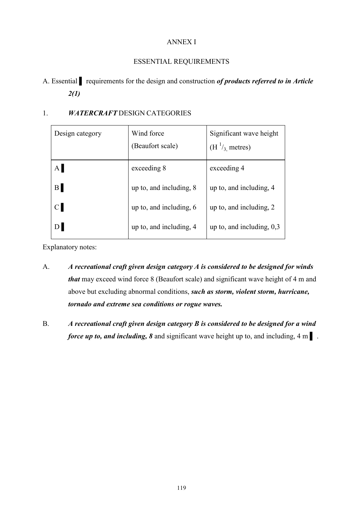# ANNEX I

# ESSENTIAL REQUIREMENTS

A. Essential ▌ requirements for the design and construction *of products referred to in Article 2(1)* 

# 1. *WATERCRAFT* DESIGN CATEGORIES

| Design category | Wind force<br>(Beaufort scale) | Significant wave height<br>$(H^1/3)$ metres) |
|-----------------|--------------------------------|----------------------------------------------|
| A               | exceeding 8                    | exceeding 4                                  |
| $\mathbf{B}$    | up to, and including, 8        | up to, and including, 4                      |
| $\mathbf C$     | up to, and including, $6$      | up to, and including, 2                      |
| D <sub>l</sub>  | up to, and including, 4        | up to, and including, $0.3$                  |

Explanatory notes:

- A. *A recreational craft given design category A is considered to be designed for winds that* may exceed wind force 8 (Beaufort scale) and significant wave height of 4 m and above but excluding abnormal conditions, *such as storm, violent storm, hurricane, tornado and extreme sea conditions or rogue waves.*
- B. *A recreational craft given design category B is considered to be designed for a wind force up to, and including, 8* and significant wave height up to, and including, 4 m |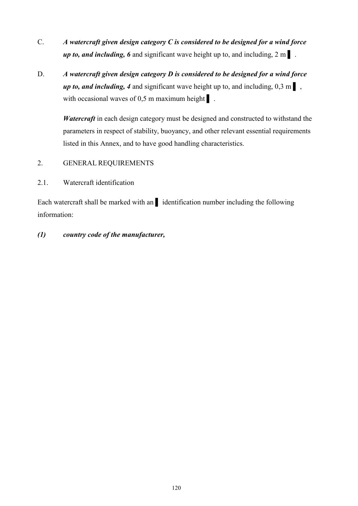- C. *A watercraft given design category C is considered to be designed for a wind force up to, and including, 6* and significant wave height up to, and including, 2 m  $\blacksquare$ .
- D. *A watercraft given design category D is considered to be designed for a wind force up to, and including, 4* and significant wave height up to, and including,  $0,3 \text{ m}$ , with occasional waves of  $0.5$  m maximum height  $\vert$ .

*Watercraft* in each design category must be designed and constructed to withstand the parameters in respect of stability, buoyancy, and other relevant essential requirements listed in this Annex, and to have good handling characteristics.

- 2. GENERAL REQUIREMENTS
- 2.1. Watercraft identification

Each watercraft shall be marked with an ▌ identification number including the following information:

*(1) country code of the manufacturer,*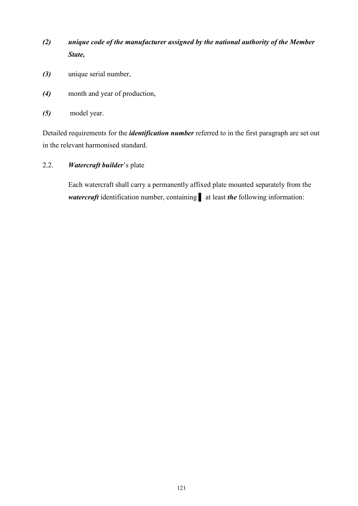- *(2) unique code of the manufacturer assigned by the national authority of the Member State,*
- *(3)* unique serial number,
- *(4)* month and year of production,
- *(5)* model year.

Detailed requirements for the *identification number* referred to in the first paragraph are set out in the relevant harmonised standard.

2.2. *Watercraft builder*'s plate

Each watercraft shall carry a permanently affixed plate mounted separately from the *watercraft* identification number, containing ▌ at least *the* following information: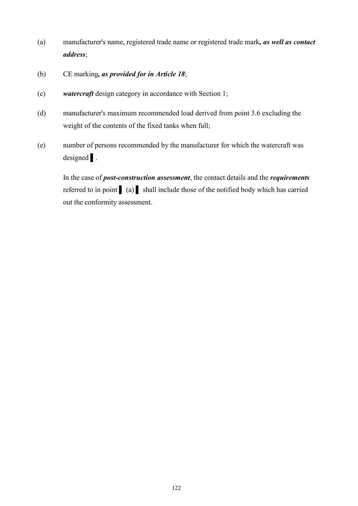- (a) manufacturer's name, registered trade name or registered trade mark*, as well as contact address*;
- (b) CE marking*, as provided for in Article 18*;
- (c) *watercraft* design category in accordance with Section 1;
- (d) manufacturer's maximum recommended load derived from point 3.6 excluding the weight of the contents of the fixed tanks when full;
- (e) number of persons recommended by the manufacturer for which the watercraft was designed ▌.

In the case of *post-construction assessment*, the contact details and the *requirements*  referred to in point (a) shall include those of the notified body which has carried out the conformity assessment.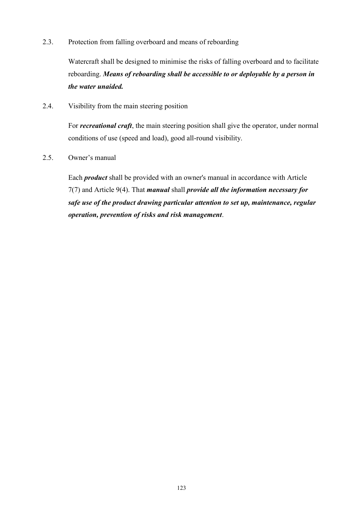2.3. Protection from falling overboard and means of reboarding

Watercraft shall be designed to minimise the risks of falling overboard and to facilitate reboarding. *Means of reboarding shall be accessible to or deployable by a person in the water unaided.* 

2.4. Visibility from the main steering position

For *recreational craft*, the main steering position shall give the operator, under normal conditions of use (speed and load), good all-round visibility.

2.5. Owner's manual

Each *product* shall be provided with an owner's manual in accordance with Article 7(7) and Article 9(4). That *manual* shall *provide all the information necessary for safe use of the product drawing particular attention to set up, maintenance, regular operation, prevention of risks and risk management*.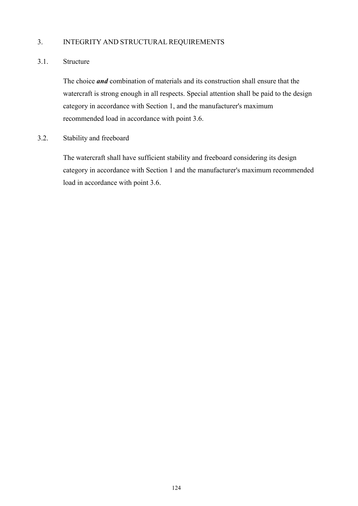# 3. INTEGRITY AND STRUCTURAL REQUIREMENTS

#### 3.1. Structure

The choice *and* combination of materials and its construction shall ensure that the watercraft is strong enough in all respects. Special attention shall be paid to the design category in accordance with Section 1, and the manufacturer's maximum recommended load in accordance with point 3.6.

3.2. Stability and freeboard

The watercraft shall have sufficient stability and freeboard considering its design category in accordance with Section 1 and the manufacturer's maximum recommended load in accordance with point 3.6.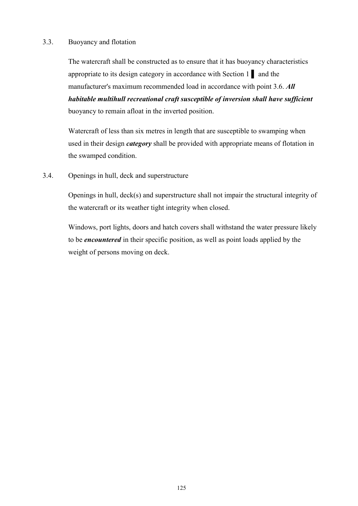#### 3.3. Buoyancy and flotation

The watercraft shall be constructed as to ensure that it has buoyancy characteristics appropriate to its design category in accordance with Section 1 ▌ and the manufacturer's maximum recommended load in accordance with point 3.6. *All habitable multihull recreational craft susceptible of inversion shall have sufficient* buoyancy to remain afloat in the inverted position.

Watercraft of less than six metres in length that are susceptible to swamping when used in their design *category* shall be provided with appropriate means of flotation in the swamped condition.

3.4. Openings in hull, deck and superstructure

Openings in hull, deck(s) and superstructure shall not impair the structural integrity of the watercraft or its weather tight integrity when closed.

Windows, port lights, doors and hatch covers shall withstand the water pressure likely to be *encountered* in their specific position, as well as point loads applied by the weight of persons moving on deck.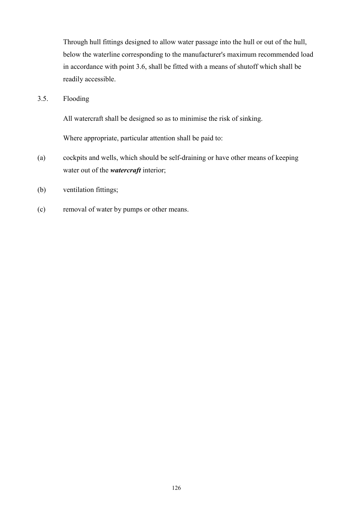Through hull fittings designed to allow water passage into the hull or out of the hull, below the waterline corresponding to the manufacturer's maximum recommended load in accordance with point 3.6, shall be fitted with a means of shutoff which shall be readily accessible.

3.5. Flooding

All watercraft shall be designed so as to minimise the risk of sinking.

Where appropriate, particular attention shall be paid to:

- (a) cockpits and wells, which should be self-draining or have other means of keeping water out of the *watercraft* interior;
- (b) ventilation fittings;
- (c) removal of water by pumps or other means.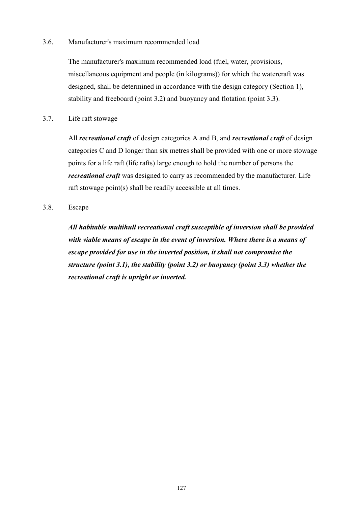#### 3.6. Manufacturer's maximum recommended load

The manufacturer's maximum recommended load (fuel, water, provisions, miscellaneous equipment and people (in kilograms)) for which the watercraft was designed, shall be determined in accordance with the design category (Section 1), stability and freeboard (point 3.2) and buoyancy and flotation (point 3.3).

3.7. Life raft stowage

All *recreational craft* of design categories A and B, and *recreational craft* of design categories C and D longer than six metres shall be provided with one or more stowage points for a life raft (life rafts) large enough to hold the number of persons the *recreational craft* was designed to carry as recommended by the manufacturer. Life raft stowage point(s) shall be readily accessible at all times.

3.8. Escape

*All habitable multihull recreational craft susceptible of inversion shall be provided with viable means of escape in the event of inversion. Where there is a means of escape provided for use in the inverted position, it shall not compromise the structure (point 3.1), the stability (point 3.2) or buoyancy (point 3.3) whether the recreational craft is upright or inverted.*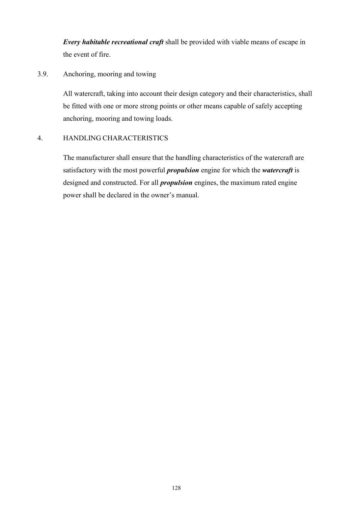*Every habitable recreational craft* shall be provided with viable means of escape in the event of fire.

# 3.9. Anchoring, mooring and towing

All watercraft, taking into account their design category and their characteristics, shall be fitted with one or more strong points or other means capable of safely accepting anchoring, mooring and towing loads.

## 4. HANDLING CHARACTERISTICS

The manufacturer shall ensure that the handling characteristics of the watercraft are satisfactory with the most powerful *propulsion* engine for which the *watercraft* is designed and constructed. For all *propulsion* engines, the maximum rated engine power shall be declared in the owner's manual.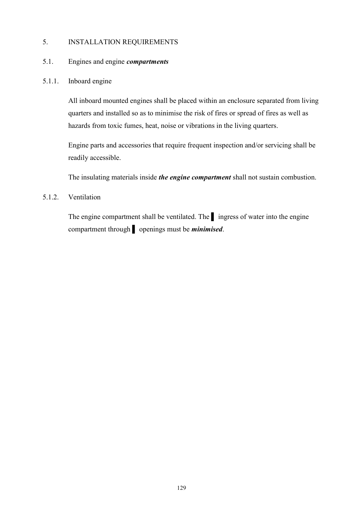### 5. INSTALLATION REQUIREMENTS

#### 5.1. Engines and engine *compartments*

#### 5.1.1. Inboard engine

All inboard mounted engines shall be placed within an enclosure separated from living quarters and installed so as to minimise the risk of fires or spread of fires as well as hazards from toxic fumes, heat, noise or vibrations in the living quarters.

Engine parts and accessories that require frequent inspection and/or servicing shall be readily accessible.

The insulating materials inside *the engine compartment* shall not sustain combustion.

### 5.1.2. Ventilation

The engine compartment shall be ventilated. The ▌ ingress of water into the engine compartment through ▌ openings must be *minimised*.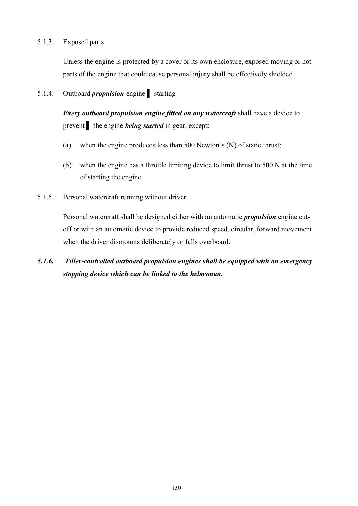### 5.1.3. Exposed parts

Unless the engine is protected by a cover or its own enclosure, exposed moving or hot parts of the engine that could cause personal injury shall be effectively shielded.

### 5.1.4. Outboard *propulsion* engine starting

*Every outboard propulsion engine fitted on any watercraft* shall have a device to prevent the engine *being started* in gear, except:

- (a) when the engine produces less than 500 Newton's (N) of static thrust;
- (b) when the engine has a throttle limiting device to limit thrust to 500 N at the time of starting the engine.
- 5.1.5. Personal watercraft running without driver

Personal watercraft shall be designed either with an automatic *propulsion* engine cutoff or with an automatic device to provide reduced speed, circular, forward movement when the driver dismounts deliberately or falls overboard.

*5.1.6. Tiller-controlled outboard propulsion engines shall be equipped with an emergency stopping device which can be linked to the helmsman.*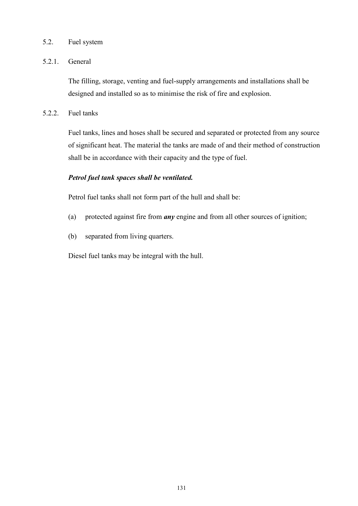### 5.2. Fuel system

### 5.2.1. General

The filling, storage, venting and fuel-supply arrangements and installations shall be designed and installed so as to minimise the risk of fire and explosion.

5.2.2. Fuel tanks

Fuel tanks, lines and hoses shall be secured and separated or protected from any source of significant heat. The material the tanks are made of and their method of construction shall be in accordance with their capacity and the type of fuel.

### *Petrol fuel tank spaces shall be ventilated.*

Petrol fuel tanks shall not form part of the hull and shall be:

- (a) protected against fire from *any* engine and from all other sources of ignition;
- (b) separated from living quarters.

Diesel fuel tanks may be integral with the hull.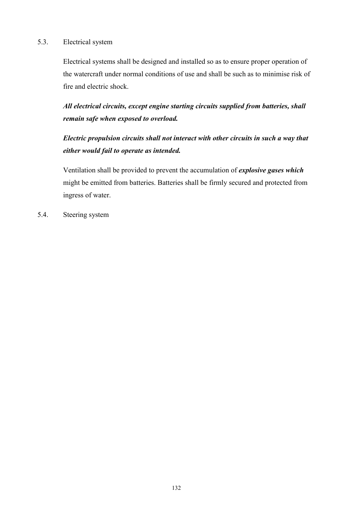### 5.3. Electrical system

Electrical systems shall be designed and installed so as to ensure proper operation of the watercraft under normal conditions of use and shall be such as to minimise risk of fire and electric shock.

*All electrical circuits, except engine starting circuits supplied from batteries, shall remain safe when exposed to overload.* 

*Electric propulsion circuits shall not interact with other circuits in such a way that either would fail to operate as intended.* 

Ventilation shall be provided to prevent the accumulation of *explosive gases which*  might be emitted from batteries. Batteries shall be firmly secured and protected from ingress of water.

5.4. Steering system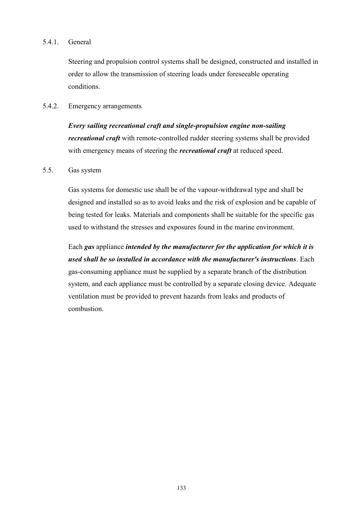### 5.4.1. General

Steering and propulsion control systems shall be designed, constructed and installed in order to allow the transmission of steering loads under foreseeable operating conditions.

#### 5.4.2. Emergency arrangements

*Every sailing recreational craft and single-propulsion engine non-sailing recreational craft* with remote-controlled rudder steering systems shall be provided with emergency means of steering the *recreational craft* at reduced speed.

#### 5.5. Gas system

Gas systems for domestic use shall be of the vapour-withdrawal type and shall be designed and installed so as to avoid leaks and the risk of explosion and be capable of being tested for leaks. Materials and components shall be suitable for the specific gas used to withstand the stresses and exposures found in the marine environment.

Each *gas* appliance *intended by the manufacturer for the application for which it is used shall be so installed in accordance with the manufacturer's instructions*. Each gas-consuming appliance must be supplied by a separate branch of the distribution system, and each appliance must be controlled by a separate closing device. Adequate ventilation must be provided to prevent hazards from leaks and products of combustion.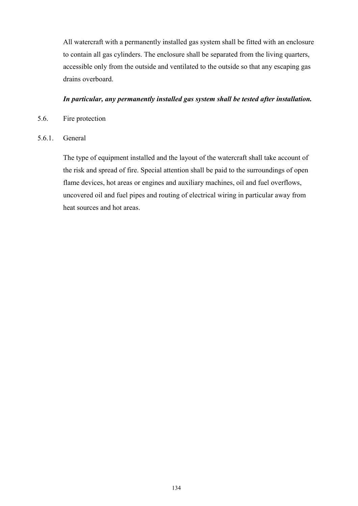All watercraft with a permanently installed gas system shall be fitted with an enclosure to contain all gas cylinders. The enclosure shall be separated from the living quarters, accessible only from the outside and ventilated to the outside so that any escaping gas drains overboard.

### *In particular, any permanently installed gas system shall be tested after installation.*

- 5.6. Fire protection
- 5.6.1. General

The type of equipment installed and the layout of the watercraft shall take account of the risk and spread of fire. Special attention shall be paid to the surroundings of open flame devices, hot areas or engines and auxiliary machines, oil and fuel overflows, uncovered oil and fuel pipes and routing of electrical wiring in particular away from heat sources and hot areas.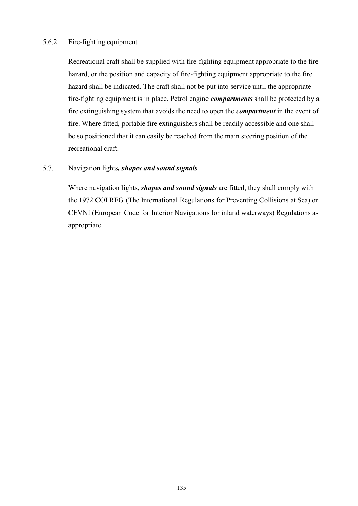### 5.6.2. Fire-fighting equipment

Recreational craft shall be supplied with fire-fighting equipment appropriate to the fire hazard, or the position and capacity of fire-fighting equipment appropriate to the fire hazard shall be indicated. The craft shall not be put into service until the appropriate fire-fighting equipment is in place. Petrol engine *compartments* shall be protected by a fire extinguishing system that avoids the need to open the *compartment* in the event of fire. Where fitted, portable fire extinguishers shall be readily accessible and one shall be so positioned that it can easily be reached from the main steering position of the recreational craft.

### 5.7. Navigation lights*, shapes and sound signals*

Where navigation lights*, shapes and sound signals* are fitted, they shall comply with the 1972 COLREG (The International Regulations for Preventing Collisions at Sea) or CEVNI (European Code for Interior Navigations for inland waterways) Regulations as appropriate.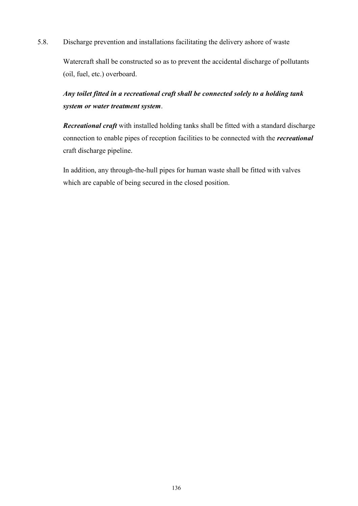5.8. Discharge prevention and installations facilitating the delivery ashore of waste

Watercraft shall be constructed so as to prevent the accidental discharge of pollutants (oil, fuel, etc.) overboard.

### *Any toilet fitted in a recreational craft shall be connected solely to a holding tank system or water treatment system*.

*Recreational craft* with installed holding tanks shall be fitted with a standard discharge connection to enable pipes of reception facilities to be connected with the *recreational*  craft discharge pipeline.

In addition, any through-the-hull pipes for human waste shall be fitted with valves which are capable of being secured in the closed position.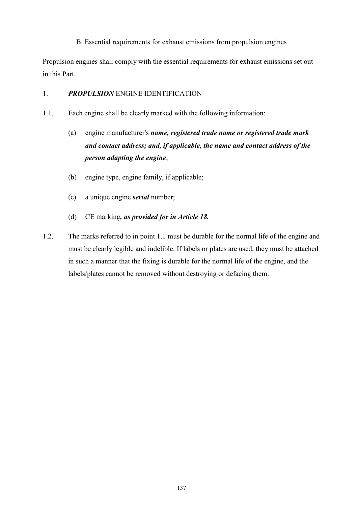B. Essential requirements for exhaust emissions from propulsion engines

Propulsion engines shall comply with the essential requirements for exhaust emissions set out in this Part.

### 1. *PROPULSION* ENGINE IDENTIFICATION

- 1.1. Each engine shall be clearly marked with the following information:
	- (a) engine manufacturer's *name, registered trade name or registered trade mark and contact address; and, if applicable, the name and contact address of the person adapting the engine*;
	- (b) engine type, engine family, if applicable;
	- (c) a unique engine *serial* number;
	- (d) CE marking*, as provided for in Article 18.*
- 1.2. The marks referred to in point 1.1 must be durable for the normal life of the engine and must be clearly legible and indelible. If labels or plates are used, they must be attached in such a manner that the fixing is durable for the normal life of the engine, and the labels/plates cannot be removed without destroying or defacing them.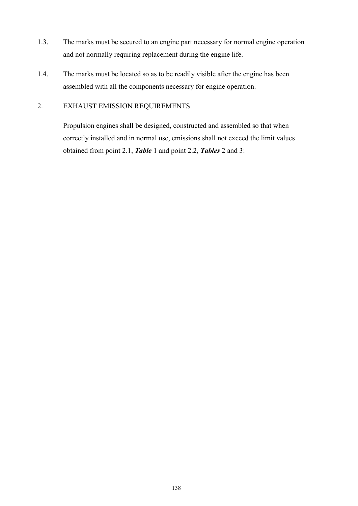- 1.3. The marks must be secured to an engine part necessary for normal engine operation and not normally requiring replacement during the engine life.
- 1.4. The marks must be located so as to be readily visible after the engine has been assembled with all the components necessary for engine operation.

### 2. EXHAUST EMISSION REQUIREMENTS

Propulsion engines shall be designed, constructed and assembled so that when correctly installed and in normal use, emissions shall not exceed the limit values obtained from point 2.1, *Table* 1 and point 2.2, *Tables* 2 and 3: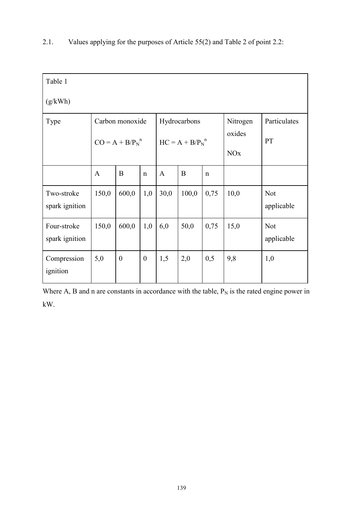| Table 1<br>(g/kWh)            |                                         |                  |                                  |              |       |                                             |                    |                          |
|-------------------------------|-----------------------------------------|------------------|----------------------------------|--------------|-------|---------------------------------------------|--------------------|--------------------------|
| Type                          | Carbon monoxide<br>$CO = A + B/P_N^{n}$ |                  | Hydrocarbons<br>$HC = A + B/PNn$ |              |       | Nitrogen<br>oxides<br><b>NO<sub>x</sub></b> | Particulates<br>PT |                          |
|                               | $\mathbf{A}$                            | B                | $\mathbf n$                      | $\mathbf{A}$ | B     | $\mathbf n$                                 |                    |                          |
| Two-stroke<br>spark ignition  | 150,0                                   | 600,0            | 1,0                              | 30,0         | 100,0 | 0,75                                        | 10,0               | <b>Not</b><br>applicable |
| Four-stroke<br>spark ignition | 150,0                                   | 600,0            | 1,0                              | 6,0          | 50,0  | 0,75                                        | 15,0               | <b>Not</b><br>applicable |
| Compression<br>ignition       | 5,0                                     | $\boldsymbol{0}$ | $\mathbf{0}$                     | 1,5          | 2,0   | 0,5                                         | 9,8                | 1,0                      |

### 2.1. Values applying for the purposes of Article 55(2) and Table 2 of point 2.2:

Where A, B and n are constants in accordance with the table,  $P_N$  is the rated engine power in kW.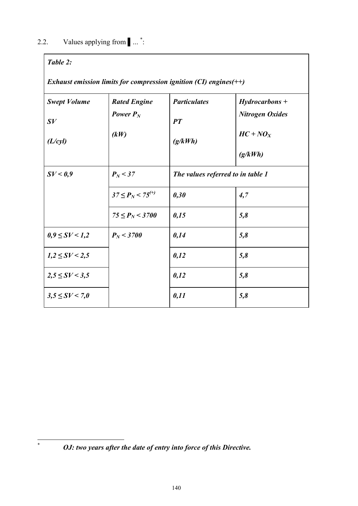### *Table 2:*

 $\ast$ 

*Exhaust emission limits for compression ignition (CI) engines(++)*

| <b>Swept Volume</b> | <b>Rated Engine</b>               | <b>Particulates</b>               | $Hydrocarbons +$       |
|---------------------|-----------------------------------|-----------------------------------|------------------------|
| $\boldsymbol{S}V$   | Power $P_N$                       | PT                                | <b>Nitrogen Oxides</b> |
| (L/cyl)             | (kW)                              | (g/kWh)                           | $HC + NO_X$            |
|                     |                                   |                                   | (g/kWh)                |
| SV < 0.9            | $P_N < 37$                        | The values referred to in table 1 |                        |
|                     | $37 \leq P_N$ < 75 <sup>(+)</sup> | 0,30                              | 4,7                    |
|                     | $75 \leq P_N < 3700$              | 0,15                              | 5,8                    |
| $0,9 \leq SV < 1,2$ | $P_N < 3700$                      | 0,14                              | 5,8                    |
| $1,2 \leq SV < 2,5$ |                                   | 0,12                              | 5,8                    |
| $2,5 \leq SV < 3,5$ |                                   | 0,12                              | 5,8                    |
| $3,5 \leq SV < 7,0$ |                                   | 0,11                              | 5,8                    |

<sup>\*</sup> *OJ: two years after the date of entry into force of this Directive.*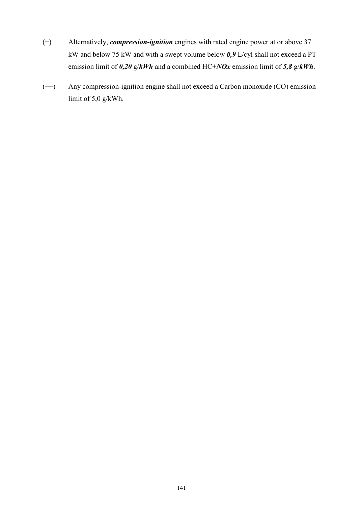- (+) Alternatively, *compression-ignition* engines with rated engine power at or above 37 kW and below 75 kW and with a swept volume below *0,9* L/cyl shall not exceed a PT emission limit of *0,20* g/*kWh* and a combined HC+*NOx* emission limit of *5,8* g/*kWh*.
- (++) Any compression-ignition engine shall not exceed a Carbon monoxide (CO) emission limit of 5,0 g/kWh.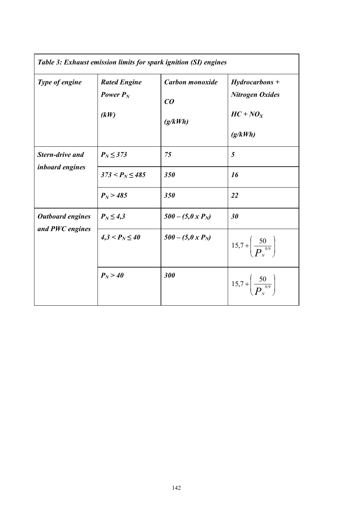| Table 3: Exhaust emission limits for spark ignition (SI) engines |                                            |                                  |                                                                      |  |  |
|------------------------------------------------------------------|--------------------------------------------|----------------------------------|----------------------------------------------------------------------|--|--|
| Type of engine                                                   | <b>Rated Engine</b><br>Power $P_N$<br>(kW) | Carbon monoxide<br>CO<br>(g/kWh) | $Hydrocarbons +$<br><b>Nitrogen Oxides</b><br>$HC + NO_X$<br>(g/kWh) |  |  |
| <b>Stern-drive and</b><br><i>inboard engines</i>                 | $P_N \leq 373$                             | 75                               | 5                                                                    |  |  |
|                                                                  | $373 < P_N \leq 485$                       | 350                              | 16                                                                   |  |  |
|                                                                  | $P_N > 485$                                | 350                              | 22                                                                   |  |  |
| <b>Outboard engines</b><br>and PWC engines                       | $P_N \leq 4,3$                             | $500 - (5,0x P_N)$               | 30                                                                   |  |  |
|                                                                  | $4,3 < P_N \leq 40$                        | $500 - (5,0 x PN)$               | $15.7 + \left(\frac{50}{P_{u}}\right)$                               |  |  |
|                                                                  | $P_N > 40$                                 | 300                              | $15.7 + \left(\frac{50}{P_{v}}\right)$                               |  |  |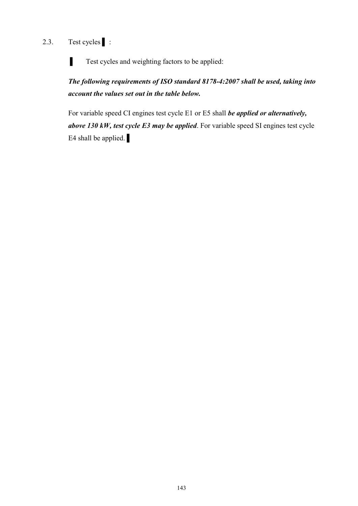# 2.3. Test cycles | :

**Test cycles and weighting factors to be applied:** 

*The following requirements of ISO standard 8178-4:2007 shall be used, taking into account the values set out in the table below.* 

For variable speed CI engines test cycle E1 or E5 shall *be applied or alternatively, above 130 kW, test cycle E3 may be applied*. For variable speed SI engines test cycle E4 shall be applied.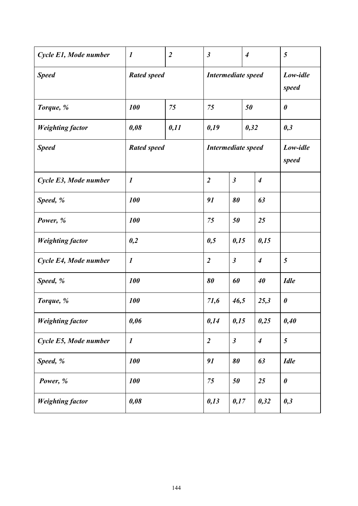| Cycle E1, Mode number   | $\boldsymbol{l}$   | $\overline{2}$ | $\boldsymbol{\beta}$      |                      | $\overline{4}$    | 5                     |
|-------------------------|--------------------|----------------|---------------------------|----------------------|-------------------|-----------------------|
| <b>Speed</b>            | <b>Rated speed</b> |                | <b>Intermediate speed</b> |                      | Low-idle<br>speed |                       |
| Torque, %               | 100<br>75          |                | 75                        | 50                   |                   | $\boldsymbol{\theta}$ |
| <b>Weighting factor</b> | 0,11<br>0,08       |                | 0,19                      | 0,32                 |                   | 0,3                   |
| <b>Speed</b>            | <b>Rated speed</b> |                | <b>Intermediate speed</b> |                      | Low-idle<br>speed |                       |
| Cycle E3, Mode number   | $\boldsymbol{l}$   |                | $\overline{2}$            | $\boldsymbol{\beta}$ | $\overline{4}$    |                       |
| Speed, %                | 100                |                | 91                        | 80                   | 63                |                       |
| Power, %                | <b>100</b>         |                | 75                        | 50                   | 25                |                       |
| <b>Weighting factor</b> | 0,2                |                | 0,5                       | 0,15                 | 0,15              |                       |
| Cycle E4, Mode number   | $\boldsymbol{l}$   |                | $\overline{2}$            | $\boldsymbol{\beta}$ | $\overline{4}$    | 5                     |
| Speed, %                | 100                |                | 80                        | 60                   | 40                | <b>Idle</b>           |
| Torque, %               | <b>100</b>         |                | 71,6                      | 46,5                 | 25,3              | $\boldsymbol{\theta}$ |
| <b>Weighting factor</b> | 0,06               |                | 0,14                      | 0,15                 | 0,25              | 0,40                  |
| Cycle E5, Mode number   | $\boldsymbol{l}$   |                | $\overline{2}$            | $\boldsymbol{\beta}$ | $\boldsymbol{4}$  | 5                     |
| Speed, %                | 100                |                | 91                        | 80                   | 63                | <b>Idle</b>           |
| Power, %                | 100                |                | 75                        | 50                   | 25                | $\boldsymbol{\theta}$ |
| <b>Weighting factor</b> | 0,08               |                | 0,13                      | 0,17                 | 0,32              | 0,3                   |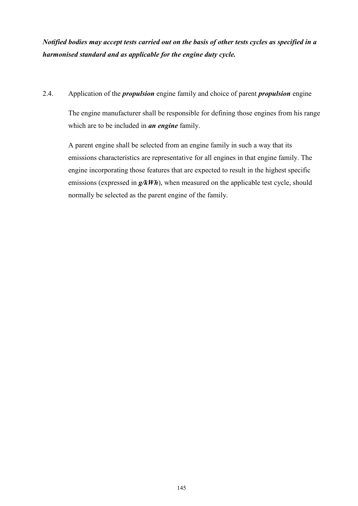*Notified bodies may accept tests carried out on the basis of other tests cycles as specified in a harmonised standard and as applicable for the engine duty cycle.* 

### 2.4. Application of the *propulsion* engine family and choice of parent *propulsion* engine

The engine manufacturer shall be responsible for defining those engines from his range which are to be included in *an engine* family.

A parent engine shall be selected from an engine family in such a way that its emissions characteristics are representative for all engines in that engine family. The engine incorporating those features that are expected to result in the highest specific emissions (expressed in  $g/kWh$ ), when measured on the applicable test cycle, should normally be selected as the parent engine of the family.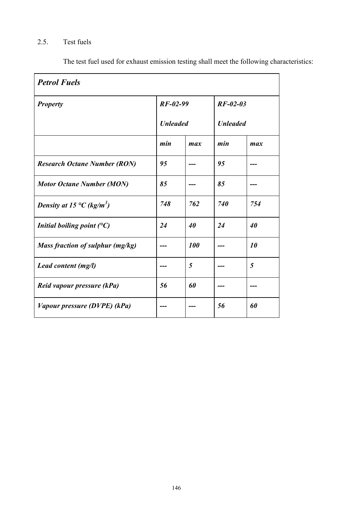# 2.5. Test fuels

The test fuel used for exhaust emission testing shall meet the following characteristics:

| <b>Petrol Fuels</b>                   |                 |            |                 |     |
|---------------------------------------|-----------------|------------|-----------------|-----|
| <b>Property</b>                       | $RF-02-99$      |            | $RF-02-03$      |     |
|                                       | <b>Unleaded</b> |            | <b>Unleaded</b> |     |
|                                       | min             | max        | min             | max |
| <b>Research Octane Number (RON)</b>   | 95              |            | 95              |     |
| <b>Motor Octane Number (MON)</b>      | 85              |            | 85              |     |
| Density at 15 °C (kg/m <sup>3</sup> ) | 748             | 762        | 740             | 754 |
| Initial boiling point $(^{\circ}C)$   | 24              | 40         | 24              | 40  |
| Mass fraction of sulphur (mg/kg)      |                 | <b>100</b> |                 | 10  |
| Lead content (mg/l)                   |                 | 5          |                 | 5   |
| Reid vapour pressure (kPa)            | 56              | 60         |                 |     |
| Vapour pressure (DVPE) (kPa)          |                 |            | 56              | 60  |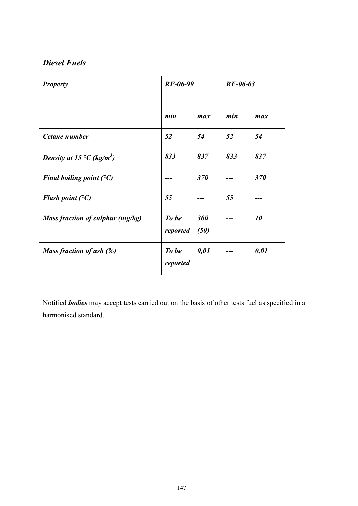| <b>Diesel Fuels</b>                                 |                   |             |            |      |
|-----------------------------------------------------|-------------------|-------------|------------|------|
| <b>Property</b>                                     | $RF-06-99$        |             | $RF-06-03$ |      |
|                                                     | min               | max         | min        | max  |
| Cetane number                                       | 52                | 54          | 52         | 54   |
| Density at 15 $\rm{^{\circ}C}$ (kg/m <sup>3</sup> ) | 833               | 837         | 833        | 837  |
| Final boiling point $(^{\circ}C)$                   |                   | 370         |            | 370  |
| Flash point $(^{\circ}C)$                           | 55                |             | 55         |      |
| Mass fraction of sulphur (mg/kg)                    | To be<br>reported | 300<br>(50) |            | 10   |
| Mass fraction of ash (%)                            | To be<br>reported | 0,01        |            | 0,01 |

Notified *bodies* may accept tests carried out on the basis of other tests fuel as specified in a harmonised standard.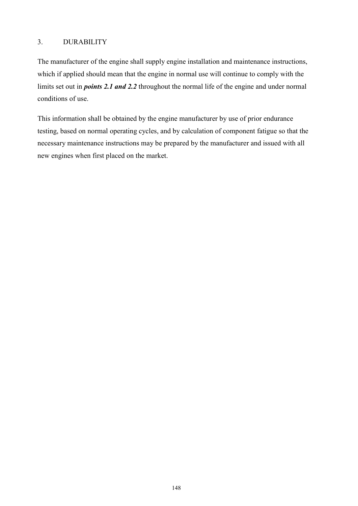### 3. DURABILITY

The manufacturer of the engine shall supply engine installation and maintenance instructions, which if applied should mean that the engine in normal use will continue to comply with the limits set out in *points 2.1 and 2.2* throughout the normal life of the engine and under normal conditions of use.

This information shall be obtained by the engine manufacturer by use of prior endurance testing, based on normal operating cycles, and by calculation of component fatigue so that the necessary maintenance instructions may be prepared by the manufacturer and issued with all new engines when first placed on the market.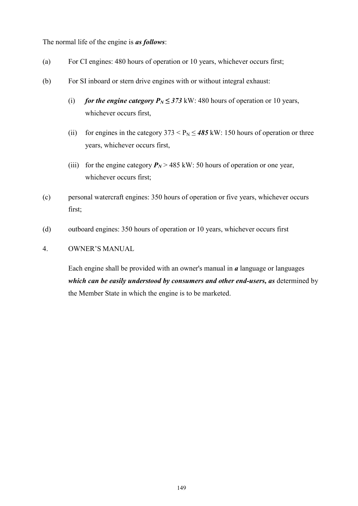The normal life of the engine is *as follows*:

- (a) For CI engines: 480 hours of operation or 10 years, whichever occurs first;
- (b) For SI inboard or stern drive engines with or without integral exhaust:
	- (i) *for the engine category*  $P_N \leq 373$  *kW: 480 hours of operation or 10 years,* whichever occurs first,
	- (ii) for engines in the category  $373 < P_N \le 485$  kW: 150 hours of operation or three years, whichever occurs first,
	- (iii) for the engine category  $P_N$  > 485 kW: 50 hours of operation or one year, whichever occurs first;
- (c) personal watercraft engines: 350 hours of operation or five years, whichever occurs first;
- (d) outboard engines: 350 hours of operation or 10 years, whichever occurs first

#### 4. OWNER'S MANUAL

Each engine shall be provided with an owner's manual in *a* language or languages which can be easily understood by consumers and other end-users, as determined by the Member State in which the engine is to be marketed.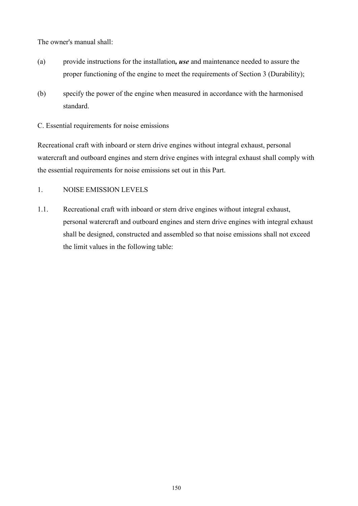The owner's manual shall:

- (a) provide instructions for the installation*, use* and maintenance needed to assure the proper functioning of the engine to meet the requirements of Section 3 (Durability);
- (b) specify the power of the engine when measured in accordance with the harmonised standard.

C. Essential requirements for noise emissions

Recreational craft with inboard or stern drive engines without integral exhaust, personal watercraft and outboard engines and stern drive engines with integral exhaust shall comply with the essential requirements for noise emissions set out in this Part.

### 1. NOISE EMISSION LEVELS

1.1. Recreational craft with inboard or stern drive engines without integral exhaust, personal watercraft and outboard engines and stern drive engines with integral exhaust shall be designed, constructed and assembled so that noise emissions shall not exceed the limit values in the following table: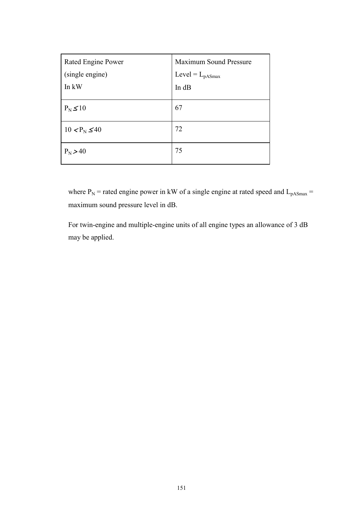| Rated Engine Power | <b>Maximum Sound Pressure</b> |  |  |
|--------------------|-------------------------------|--|--|
| (single engine)    | $Level = L_{pASmax}$          |  |  |
| In kW              | In dB                         |  |  |
| $P_N \leq 10$      | 67                            |  |  |
| $10 < P_N \leq 40$ | 72                            |  |  |
| $P_N > 40$         | 75                            |  |  |

where  $P_N$  = rated engine power in kW of a single engine at rated speed and  $L_{pASmax}$  = maximum sound pressure level in dB.

For twin-engine and multiple-engine units of all engine types an allowance of 3 dB may be applied.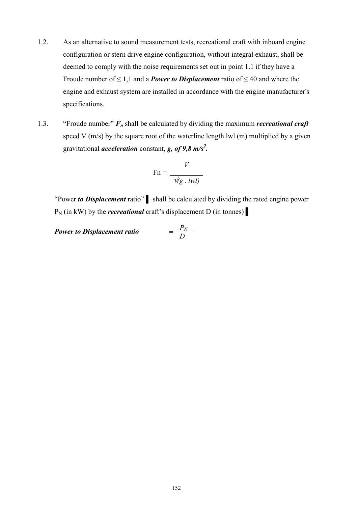- 1.2. As an alternative to sound measurement tests, recreational craft with inboard engine configuration or stern drive engine configuration, without integral exhaust, shall be deemed to comply with the noise requirements set out in point 1.1 if they have a Froude number of  $\leq 1,1$  and a *Power to Displacement* ratio of  $\leq 40$  and where the engine and exhaust system are installed in accordance with the engine manufacturer's specifications.
- 1.3. "Froude number" *F<sup>n</sup>* shall be calculated by dividing the maximum *recreational craft*  speed V  $(m/s)$  by the square root of the waterline length lwl  $(m)$  multiplied by a given gravitational *acceleration* constant, *g, of 9,8 m/s<sup>2</sup> .*

$$
\text{Fn} = \frac{V}{\sqrt{g \cdot lwl}}
$$

"Power *to Displacement* ratio" ▌ shall be calculated by dividing the rated engine power  $P_N$  (in kW) by the *recreational* craft's displacement D (in tonnes)  $\blacksquare$ 

*Power to Displacement ratio = P<sup>N</sup> D*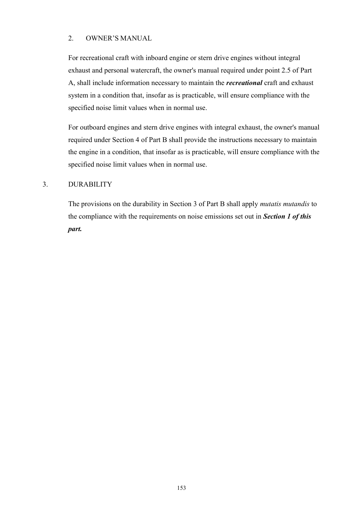### 2. OWNER'S MANUAL

For recreational craft with inboard engine or stern drive engines without integral exhaust and personal watercraft, the owner's manual required under point 2.5 of Part A, shall include information necessary to maintain the *recreational* craft and exhaust system in a condition that, insofar as is practicable, will ensure compliance with the specified noise limit values when in normal use.

For outboard engines and stern drive engines with integral exhaust, the owner's manual required under Section 4 of Part B shall provide the instructions necessary to maintain the engine in a condition, that insofar as is practicable, will ensure compliance with the specified noise limit values when in normal use.

### 3. DURABILITY

The provisions on the durability in Section 3 of Part B shall apply *mutatis mutandis* to the compliance with the requirements on noise emissions set out in *Section 1 of this part.*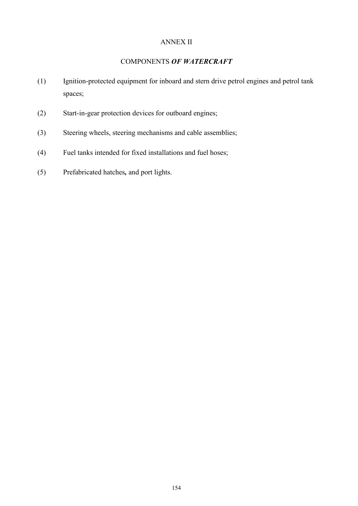### ANNEX II

### COMPONENTS *OF WATERCRAFT*

- (1) Ignition-protected equipment for inboard and stern drive petrol engines and petrol tank spaces;
- (2) Start-in-gear protection devices for outboard engines;
- (3) Steering wheels, steering mechanisms and cable assemblies;
- (4) Fuel tanks intended for fixed installations and fuel hoses;
- (5) Prefabricated hatches*,* and port lights.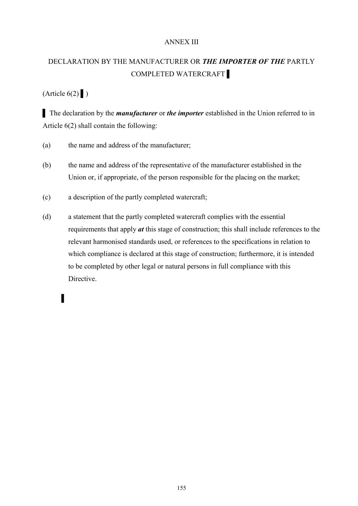### ANNEX III

### DECLARATION BY THE MANUFACTURER OR *THE IMPORTER OF THE* PARTLY COMPLETED WATERCRAFT ▌

### $(A$ rticle  $6(2)$   $)$

▌ The declaration by the *manufacturer* or *the importer* established in the Union referred to in Article 6(2) shall contain the following:

- (a) the name and address of the manufacturer;
- (b) the name and address of the representative of the manufacturer established in the Union or, if appropriate, of the person responsible for the placing on the market;
- (c) a description of the partly completed watercraft;
- (d) a statement that the partly completed watercraft complies with the essential requirements that apply *at* this stage of construction; this shall include references to the relevant harmonised standards used, or references to the specifications in relation to which compliance is declared at this stage of construction; furthermore, it is intended to be completed by other legal or natural persons in full compliance with this Directive.

# ▌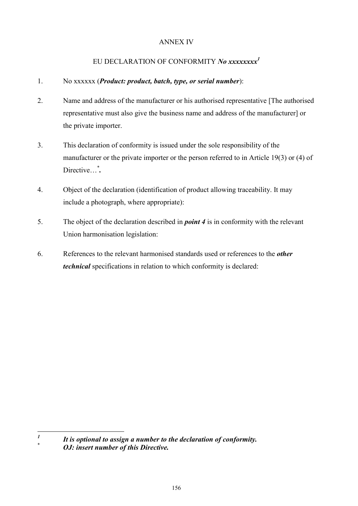### ANNEX IV

### EU DECLARATION OF CONFORMITY *No xxxxxxxx<sup>1</sup>*

### 1. No xxxxxx (*Product: product, batch, type, or serial number*):

- 2. Name and address of the manufacturer or his authorised representative [The authorised representative must also give the business name and address of the manufacturer] or the private importer.
- 3. This declaration of conformity is issued under the sole responsibility of the manufacturer or the private importer or the person referred to in Article 19(3) or (4) of Directive...<sup>\*</sup>.
- 4. Object of the declaration (identification of product allowing traceability. It may include a photograph, where appropriate):
- 5. The object of the declaration described in *point 4* is in conformity with the relevant Union harmonisation legislation:
- 6. References to the relevant harmonised standards used or references to the *other technical* specifications in relation to which conformity is declared:

 *1 It is optional to assign a number to the declaration of conformity.* 

<sup>\*</sup> *OJ: insert number of this Directive.*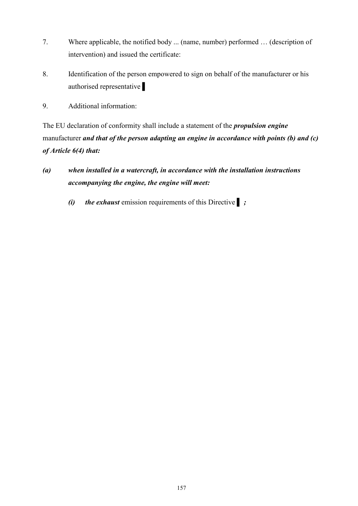- 7. Where applicable, the notified body ... (name, number) performed … (description of intervention) and issued the certificate:
- 8. Identification of the person empowered to sign on behalf of the manufacturer or his authorised representative ▌
- 9. Additional information:

The EU declaration of conformity shall include a statement of the *propulsion engine*  manufacturer *and that of the person adapting an engine in accordance with points (b) and (c) of Article 6(4) that:*

- *(a) when installed in a watercraft, in accordance with the installation instructions accompanying the engine, the engine will meet:* 
	- *(i) the exhaust* emission requirements of this Directive ▌ *;*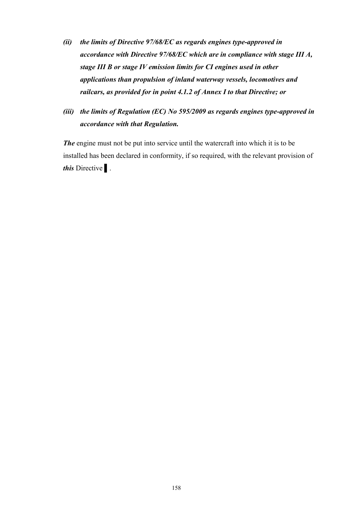- *(ii) the limits of Directive 97/68/EC as regards engines type-approved in accordance with Directive 97/68/EC which are in compliance with stage III A, stage III B or stage IV emission limits for CI engines used in other applications than propulsion of inland waterway vessels, locomotives and railcars, as provided for in point 4.1.2 of Annex I to that Directive; or*
- *(iii) the limits of Regulation (EC) No 595/2009 as regards engines type-approved in accordance with that Regulation.*

*The* engine must not be put into service until the watercraft into which it is to be installed has been declared in conformity, if so required, with the relevant provision of *this* Directive ▌.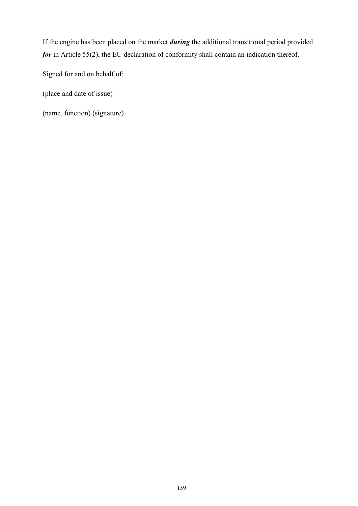If the engine has been placed on the market *during* the additional transitional period provided *for* in Article 55(2), the EU declaration of conformity shall contain an indication thereof.

Signed for and on behalf of:

(place and date of issue)

(name, function) (signature)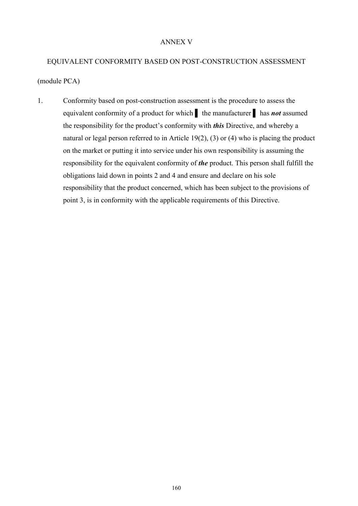#### ANNEX V

# EQUIVALENT CONFORMITY BASED ON POST-CONSTRUCTION ASSESSMENT (module PCA)

1. Conformity based on post-construction assessment is the procedure to assess the equivalent conformity of a product for which ▌ the manufacturer ▌ has *not* assumed the responsibility for the product's conformity with *this* Directive, and whereby a natural or legal person referred to in Article 19(2), (3) or (4) who is placing the product on the market or putting it into service under his own responsibility is assuming the responsibility for the equivalent conformity of *the* product. This person shall fulfill the obligations laid down in points 2 and 4 and ensure and declare on his sole responsibility that the product concerned, which has been subject to the provisions of point 3, is in conformity with the applicable requirements of this Directive.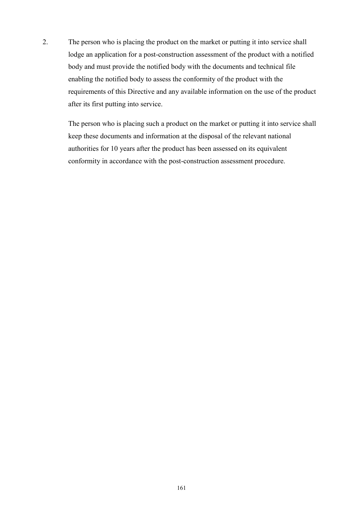2. The person who is placing the product on the market or putting it into service shall lodge an application for a post-construction assessment of the product with a notified body and must provide the notified body with the documents and technical file enabling the notified body to assess the conformity of the product with the requirements of this Directive and any available information on the use of the product after its first putting into service.

The person who is placing such a product on the market or putting it into service shall keep these documents and information at the disposal of the relevant national authorities for 10 years after the product has been assessed on its equivalent conformity in accordance with the post-construction assessment procedure.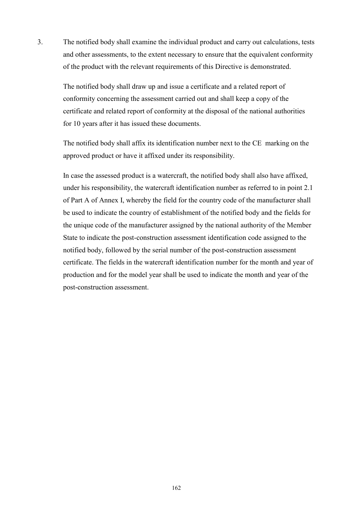3. The notified body shall examine the individual product and carry out calculations, tests and other assessments, to the extent necessary to ensure that the equivalent conformity of the product with the relevant requirements of this Directive is demonstrated.

The notified body shall draw up and issue a certificate and a related report of conformity concerning the assessment carried out and shall keep a copy of the certificate and related report of conformity at the disposal of the national authorities for 10 years after it has issued these documents.

The notified body shall affix its identification number next to the CE marking on the approved product or have it affixed under its responsibility.

In case the assessed product is a watercraft, the notified body shall also have affixed, under his responsibility, the watercraft identification number as referred to in point 2.1 of Part A of Annex I, whereby the field for the country code of the manufacturer shall be used to indicate the country of establishment of the notified body and the fields for the unique code of the manufacturer assigned by the national authority of the Member State to indicate the post-construction assessment identification code assigned to the notified body, followed by the serial number of the post-construction assessment certificate. The fields in the watercraft identification number for the month and year of production and for the model year shall be used to indicate the month and year of the post-construction assessment.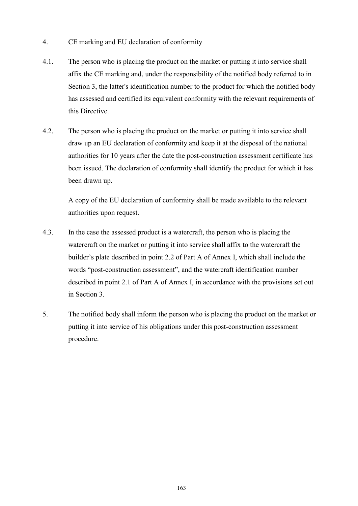- 4. CE marking and EU declaration of conformity
- 4.1. The person who is placing the product on the market or putting it into service shall affix the CE marking and, under the responsibility of the notified body referred to in Section 3, the latter's identification number to the product for which the notified body has assessed and certified its equivalent conformity with the relevant requirements of this Directive.
- 4.2. The person who is placing the product on the market or putting it into service shall draw up an EU declaration of conformity and keep it at the disposal of the national authorities for 10 years after the date the post-construction assessment certificate has been issued. The declaration of conformity shall identify the product for which it has been drawn up.

A copy of the EU declaration of conformity shall be made available to the relevant authorities upon request.

- 4.3. In the case the assessed product is a watercraft, the person who is placing the watercraft on the market or putting it into service shall affix to the watercraft the builder's plate described in point 2.2 of Part A of Annex I, which shall include the words "post-construction assessment", and the watercraft identification number described in point 2.1 of Part A of Annex I, in accordance with the provisions set out in Section 3.
- 5. The notified body shall inform the person who is placing the product on the market or putting it into service of his obligations under this post-construction assessment procedure.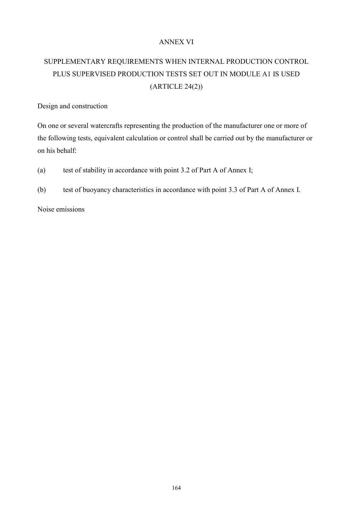### ANNEX VI

# SUPPLEMENTARY REQUIREMENTS WHEN INTERNAL PRODUCTION CONTROL PLUS SUPERVISED PRODUCTION TESTS SET OUT IN MODULE A1 IS USED (ARTICLE 24(2))

Design and construction

On one or several watercrafts representing the production of the manufacturer one or more of the following tests, equivalent calculation or control shall be carried out by the manufacturer or on his behalf:

(a) test of stability in accordance with point 3.2 of Part A of Annex I;

(b) test of buoyancy characteristics in accordance with point 3.3 of Part A of Annex I.

Noise emissions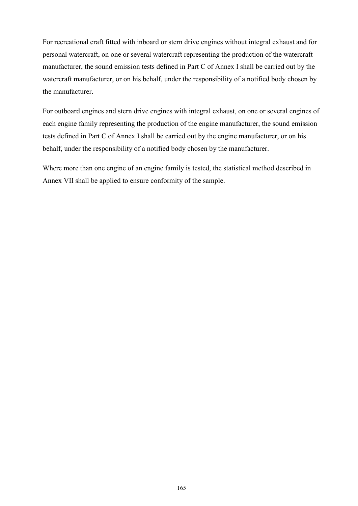For recreational craft fitted with inboard or stern drive engines without integral exhaust and for personal watercraft, on one or several watercraft representing the production of the watercraft manufacturer, the sound emission tests defined in Part C of Annex I shall be carried out by the watercraft manufacturer, or on his behalf, under the responsibility of a notified body chosen by the manufacturer.

For outboard engines and stern drive engines with integral exhaust, on one or several engines of each engine family representing the production of the engine manufacturer, the sound emission tests defined in Part C of Annex I shall be carried out by the engine manufacturer, or on his behalf, under the responsibility of a notified body chosen by the manufacturer.

Where more than one engine of an engine family is tested, the statistical method described in Annex VII shall be applied to ensure conformity of the sample.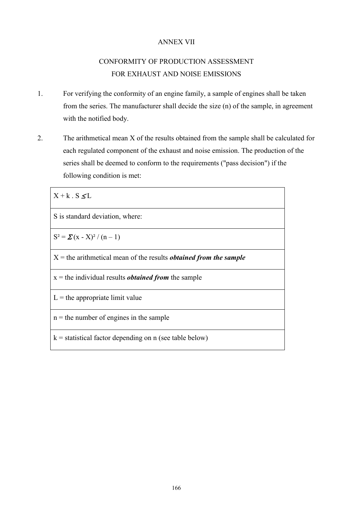### ANNEX VII

# CONFORMITY OF PRODUCTION ASSESSMENT FOR EXHAUST AND NOISE EMISSIONS

- 1. For verifying the conformity of an engine family, a sample of engines shall be taken from the series. The manufacturer shall decide the size (n) of the sample, in agreement with the notified body.
- 2. The arithmetical mean X of the results obtained from the sample shall be calculated for each regulated component of the exhaust and noise emission. The production of the series shall be deemed to conform to the requirements ("pass decision") if the following condition is met:

 $X + k$   $S < L$ S is standard deviation, where:  $S^2 = \sum (x - X)^2 / (n - 1)$ X = the arithmetical mean of the results *obtained from the sample* x = the individual results *obtained from* the sample  $L =$  the appropriate limit value  $n =$  the number of engines in the sample  $k =$  statistical factor depending on n (see table below)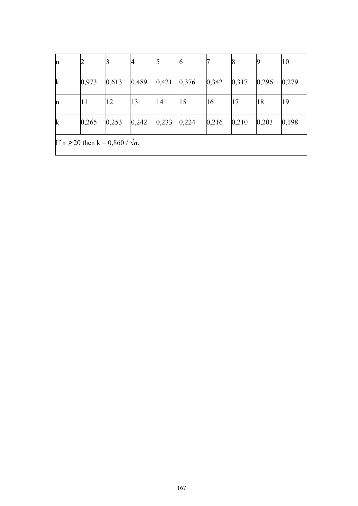| n                                           |       |       | 4     |       | O     |       | 8     | 19    | 10    |
|---------------------------------------------|-------|-------|-------|-------|-------|-------|-------|-------|-------|
| $\mathbf k$                                 | 0,973 | 0,613 | 0,489 | 0,421 | 0,376 | 0,342 | 0,317 | 0,296 | 0,279 |
| n                                           | 11    | 12    | 13    | 14    | 15    | 16    | 17    | 18    | 19    |
| $\mathbf k$                                 | 0,265 | 0,253 | 0,242 | 0,233 | 0,224 | 0,216 | 0,210 | 0,203 | 0,198 |
| If $n \ge 20$ then $k = 0,860 / \sqrt{n}$ . |       |       |       |       |       |       |       |       |       |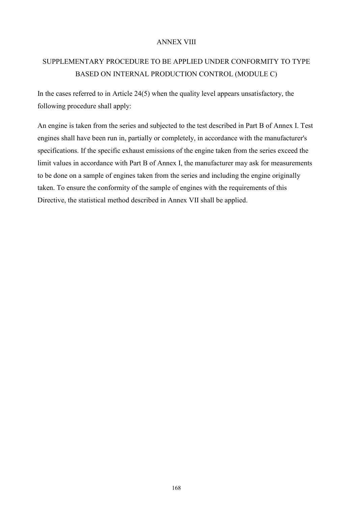### ANNEX VIII

## SUPPLEMENTARY PROCEDURE TO BE APPLIED UNDER CONFORMITY TO TYPE BASED ON INTERNAL PRODUCTION CONTROL (MODULE C)

In the cases referred to in Article 24(5) when the quality level appears unsatisfactory, the following procedure shall apply:

An engine is taken from the series and subjected to the test described in Part B of Annex I. Test engines shall have been run in, partially or completely, in accordance with the manufacturer's specifications. If the specific exhaust emissions of the engine taken from the series exceed the limit values in accordance with Part B of Annex I, the manufacturer may ask for measurements to be done on a sample of engines taken from the series and including the engine originally taken. To ensure the conformity of the sample of engines with the requirements of this Directive, the statistical method described in Annex VII shall be applied.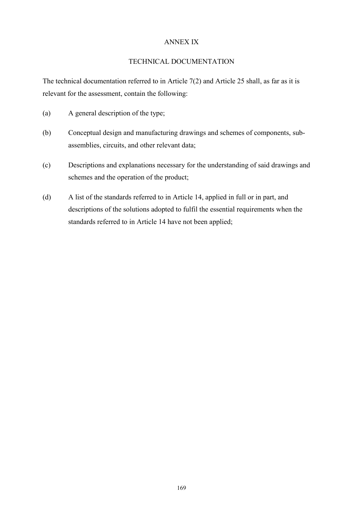### ANNEX IX

#### TECHNICAL DOCUMENTATION

The technical documentation referred to in Article 7(2) and Article 25 shall, as far as it is relevant for the assessment, contain the following:

- (a) A general description of the type;
- (b) Conceptual design and manufacturing drawings and schemes of components, subassemblies, circuits, and other relevant data;
- (c) Descriptions and explanations necessary for the understanding of said drawings and schemes and the operation of the product;
- (d) A list of the standards referred to in Article 14, applied in full or in part, and descriptions of the solutions adopted to fulfil the essential requirements when the standards referred to in Article 14 have not been applied;